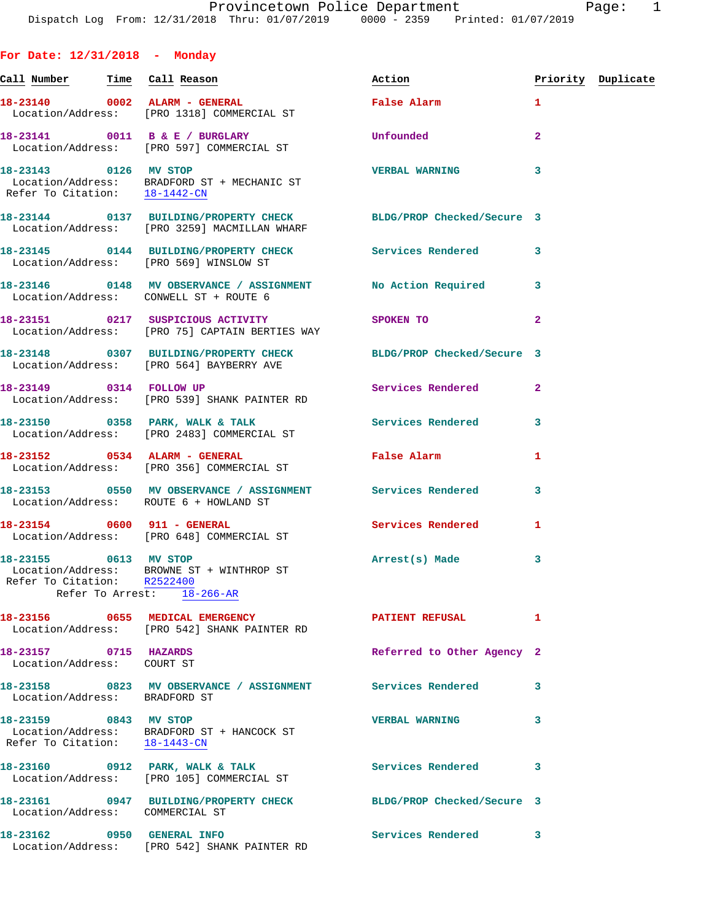**For Date: 12/31/2018 - Monday**

| Call Number                                            | Time Call Reason                                                                                                 | Action                                  |                | Priority Duplicate |
|--------------------------------------------------------|------------------------------------------------------------------------------------------------------------------|-----------------------------------------|----------------|--------------------|
|                                                        | 18-23140 0002 ALARM - GENERAL<br>Location/Address: [PRO 1318] COMMERCIAL ST                                      | <b>False Alarm</b>                      | $\mathbf{1}$   |                    |
|                                                        | 18-23141 0011 B & E / BURGLARY<br>Location/Address: [PRO 597] COMMERCIAL ST                                      | Unfounded                               | $\overline{2}$ |                    |
| 18-23143 0126 MV STOP<br>Refer To Citation: 18-1442-CN | Location/Address: BRADFORD ST + MECHANIC ST                                                                      | <b>VERBAL WARNING</b>                   | 3              |                    |
|                                                        | 18-23144 0137 BUILDING/PROPERTY CHECK BLDG/PROP Checked/Secure 3<br>Location/Address: [PRO 3259] MACMILLAN WHARF |                                         |                |                    |
|                                                        | 18-23145 0144 BUILDING/PROPERTY CHECK Services Rendered<br>Location/Address: [PRO 569] WINSLOW ST                |                                         | 3              |                    |
|                                                        | 18-23146 0148 MV OBSERVANCE / ASSIGNMENT No Action Required<br>Location/Address: CONWELL ST + ROUTE 6            |                                         | 3              |                    |
|                                                        | 18-23151 0217 SUSPICIOUS ACTIVITY<br>Location/Address: [PRO 75] CAPTAIN BERTIES WAY                              | SPOKEN TO DESCRIPTION OF REAL PROPERTY. | $\overline{2}$ |                    |
|                                                        | 18-23148 0307 BUILDING/PROPERTY CHECK BLDG/PROP Checked/Secure 3<br>Location/Address: [PRO 564] BAYBERRY AVE     |                                         |                |                    |
|                                                        | 18-23149 0314 FOLLOW UP<br>Location/Address: [PRO 539] SHANK PAINTER RD                                          | Services Rendered                       | $\mathbf{2}$   |                    |
|                                                        | 18-23150 0358 PARK, WALK & TALK<br>Location/Address: [PRO 2483] COMMERCIAL ST                                    | Services Rendered                       | 3              |                    |
|                                                        | 18-23152 0534 ALARM - GENERAL<br>Location/Address: [PRO 356] COMMERCIAL ST                                       | False Alarm                             | 1              |                    |
|                                                        | 18-23153 0550 MV OBSERVANCE / ASSIGNMENT Services Rendered<br>Location/Address: ROUTE 6 + HOWLAND ST             |                                         | 3              |                    |
|                                                        | 18-23154 0600 911 - GENERAL<br>Location/Address: [PRO 648] COMMERCIAL ST                                         | Services Rendered                       | 1              |                    |
| 18-23155 0613 MV STOP<br>Refer To Arrest: 18-266-AR    | Location/Address: BROWNE ST + WINTHROP ST<br>Refer To Citation: R2522400                                         | Arrest(s) Made                          | 3              |                    |
|                                                        | 18-23156 0655 MEDICAL EMERGENCY<br>Location/Address: [PRO 542] SHANK PAINTER RD                                  | <b>PATIENT REFUSAL</b>                  | 1              |                    |
| 18-23157 0715 HAZARDS<br>Location/Address: COURT ST    |                                                                                                                  | Referred to Other Agency 2              |                |                    |
| Location/Address: BRADFORD ST                          | 18-23158 0823 MV OBSERVANCE / ASSIGNMENT                                                                         | <b>Services Rendered</b>                | 3              |                    |
| 18-23159 0843 MV STOP<br>Refer To Citation: 18-1443-CN | Location/Address: BRADFORD ST + HANCOCK ST                                                                       | <b>VERBAL WARNING</b>                   | 3              |                    |
|                                                        | 18-23160 0912 PARK, WALK & TALK<br>Location/Address: [PRO 105] COMMERCIAL ST                                     | <b>Services Rendered</b>                | 3              |                    |
| Location/Address: COMMERCIAL ST                        | 18-23161 0947 BUILDING/PROPERTY CHECK                                                                            | BLDG/PROP Checked/Secure 3              |                |                    |
|                                                        | 18-23162 0950 GENERAL INFO<br>Location/Address: [PRO 542] SHANK PAINTER RD                                       | Services Rendered                       | 3              |                    |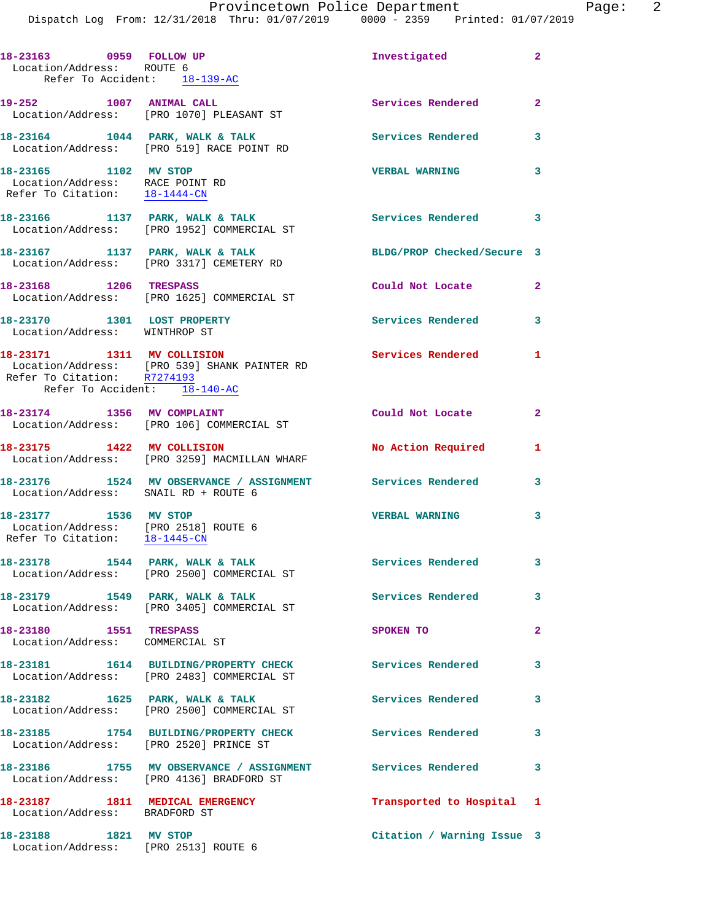| 18-23163 0959 FOLLOW UP<br>Location/Address: ROUTE 6<br>Refer To Accident: 18-139-AC           |                                                                                                        | Investigated               | $\overline{2}$          |
|------------------------------------------------------------------------------------------------|--------------------------------------------------------------------------------------------------------|----------------------------|-------------------------|
| 19-252 1007 ANIMAL CALL                                                                        | Location/Address: [PRO 1070] PLEASANT ST                                                               | Services Rendered 2        |                         |
|                                                                                                | $18-23164$ $1044$ PARK, WALK & TALK<br>Location/Address: [PRO 519] RACE POINT RD                       | <b>Services Rendered</b>   | 3                       |
| 18-23165 1102 MV STOP<br>Location/Address: RACE POINT RD<br>Refer To Citation: 18-1444-CN      |                                                                                                        | <b>VERBAL WARNING</b>      | 3                       |
|                                                                                                | 18-23166 1137 PARK, WALK & TALK<br>Location/Address: [PRO 1952] COMMERCIAL ST                          | Services Rendered 3        |                         |
|                                                                                                | 18-23167 1137 PARK, WALK & TALK<br>Location/Address: [PRO 3317] CEMETERY RD                            | BLDG/PROP Checked/Secure 3 |                         |
| 18-23168 1206 TRESPASS                                                                         | Location/Address: [PRO 1625] COMMERCIAL ST                                                             | Could Not Locate           | $\overline{2}$          |
| 18-23170 1301 LOST PROPERTY<br>Location/Address: WINTHROP ST                                   |                                                                                                        | <b>Services Rendered</b> 3 |                         |
| 18-23171 1311 MV COLLISION<br>Refer To Accident: 18-140-AC                                     | Location/Address: [PRO 539] SHANK PAINTER RD<br>Refer To Citation: R7274193                            | <b>Services Rendered</b> 1 |                         |
|                                                                                                | 18-23174 1356 MV COMPLAINT<br>Location/Address: [PRO 106] COMMERCIAL ST                                | Could Not Locate           | $\overline{2}$          |
| 18-23175 1422 MV COLLISION                                                                     | Location/Address: [PRO 3259] MACMILLAN WHARF                                                           | No Action Required         | $\mathbf{1}$            |
| Location/Address: SNAIL RD + ROUTE 6                                                           | 18-23176 1524 MV OBSERVANCE / ASSIGNMENT Services Rendered                                             |                            | $\overline{\mathbf{3}}$ |
| 18-23177 1536 MV STOP<br>Location/Address: [PRO 2518] ROUTE 6<br>Refer To Citation: 18-1445-CN |                                                                                                        | <b>VERBAL WARNING</b>      | 3                       |
|                                                                                                | 18-23178 1544 PARK, WALK & TALK<br>Location/Address: [PRO 2500] COMMERCIAL ST                          | Services Rendered          | 3                       |
|                                                                                                | 18-23179 1549 PARK, WALK & TALK<br>Location/Address: [PRO 3405] COMMERCIAL ST                          | Services Rendered 3        |                         |
| 18-23180 1551 TRESPASS<br>Location/Address: COMMERCIAL ST                                      |                                                                                                        | SPOKEN TO                  | $\mathbf{2}$            |
|                                                                                                | 18-23181   1614   BUILDING/PROPERTY CHECK<br>Location/Address: [PRO 2483] COMMERCIAL ST                | <b>Services Rendered</b>   | 3                       |
|                                                                                                | 18-23182 1625 PARK, WALK & TALK<br>Location/Address: [PRO 2500] COMMERCIAL ST                          | <b>Services Rendered</b>   | 3                       |
| Location/Address: [PRO 2520] PRINCE ST                                                         | 18-23185 1754 BUILDING/PROPERTY CHECK                                                                  | Services Rendered          | 3                       |
|                                                                                                | 18-23186 1755 MV OBSERVANCE / ASSIGNMENT Services Rendered<br>Location/Address: [PRO 4136] BRADFORD ST |                            | $\overline{\mathbf{3}}$ |
| 18-23187 1811 MEDICAL EMERGENCY<br>Location/Address: BRADFORD ST                               |                                                                                                        | Transported to Hospital 1  |                         |
| 18-23188 1821 MV STOP<br>Location/Address: [PRO 2513] ROUTE 6                                  |                                                                                                        | Citation / Warning Issue 3 |                         |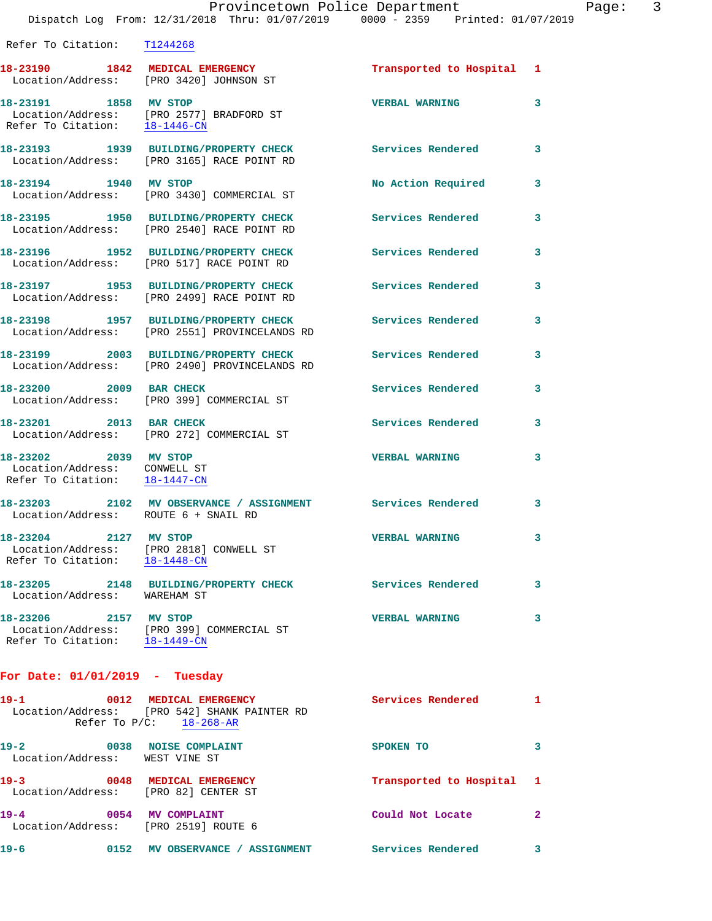| Refer To Citation: T1244268                                                            |                                                                                                      |                           |              |
|----------------------------------------------------------------------------------------|------------------------------------------------------------------------------------------------------|---------------------------|--------------|
|                                                                                        | 18-23190 1842 MEDICAL EMERGENCY<br>Location/Address: [PRO 3420] JOHNSON ST                           | Transported to Hospital 1 |              |
| 18-23191 1858 MV STOP                                                                  | Location/Address: [PRO 2577] BRADFORD ST<br>Refer To Citation: 18-1446-CN                            | <b>VERBAL WARNING</b>     | 3            |
|                                                                                        | 18-23193 1939 BUILDING/PROPERTY CHECK<br>Location/Address: [PRO 3165] RACE POINT RD                  | <b>Services Rendered</b>  | 3            |
| 18-23194 1940 MV STOP                                                                  | Location/Address: [PRO 3430] COMMERCIAL ST                                                           | No Action Required        | 3            |
|                                                                                        | 18-23195 1950 BUILDING/PROPERTY CHECK<br>Location/Address: [PRO 2540] RACE POINT RD                  | Services Rendered         | 3            |
| Location/Address:                                                                      | 18-23196 1952 BUILDING/PROPERTY CHECK<br>[PRO 517] RACE POINT RD                                     | <b>Services Rendered</b>  | 3            |
|                                                                                        | 18-23197 1953 BUILDING/PROPERTY CHECK<br>Location/Address: [PRO 2499] RACE POINT RD                  | Services Rendered         | 3            |
|                                                                                        | 18-23198 1957 BUILDING/PROPERTY CHECK<br>Location/Address: [PRO 2551] PROVINCELANDS RD               | Services Rendered         | 3            |
| 18-23199                                                                               | 2003 BUILDING/PROPERTY CHECK<br>Location/Address: [PRO 2490] PROVINCELANDS RD                        | Services Rendered         | 3            |
| 18-23200 2009 BAR CHECK                                                                | Location/Address: [PRO 399] COMMERCIAL ST                                                            | Services Rendered         | 3            |
| 2013 BAR CHECK<br>18-23201                                                             | Location/Address: [PRO 272] COMMERCIAL ST                                                            | Services Rendered         | 3            |
| 18-23202 2039 MV STOP<br>Location/Address: CONWELL ST<br>Refer To Citation: 18-1447-CN |                                                                                                      | <b>VERBAL WARNING</b>     | 3            |
| Location/Address: ROUTE 6 + SNAIL RD                                                   | 18-23203 2102 MV OBSERVANCE / ASSIGNMENT Services Rendered                                           |                           | 3            |
| 18-23204 2127 MV STOP<br>Refer To Citation: 18-1448-CN                                 | Location/Address: [PRO 2818] CONWELL ST                                                              | <b>VERBAL WARNING</b>     | 3            |
| Location/Address: WAREHAM ST                                                           | 18-23205 2148 BUILDING/PROPERTY CHECK Services Rendered                                              |                           | 3            |
| 18-23206 2157 MV STOP                                                                  | Location/Address: [PRO 399] COMMERCIAL ST<br>Refer To Citation: 18-1449-CN                           | <b>VERBAL WARNING</b>     | 3            |
| For Date: $01/01/2019$ - Tuesday                                                       |                                                                                                      |                           |              |
| 19-1                                                                                   | 0012 MEDICAL EMERGENCY<br>Location/Address: [PRO 542] SHANK PAINTER RD<br>Refer To $P/C$ : 18-268-AR | Services Rendered 1       |              |
| 19-2 0038 NOISE COMPLAINT<br>Location/Address: WEST VINE ST                            |                                                                                                      | SPOKEN TO                 | 3            |
| 19-3 0048 MEDICAL EMERGENCY<br>Location/Address: [PRO 82] CENTER ST                    |                                                                                                      | Transported to Hospital 1 |              |
| 19-4 0054 MV COMPLAINT<br>Location/Address: [PRO 2519] ROUTE 6                         |                                                                                                      | Could Not Locate          | $\mathbf{2}$ |

19-6 **0152 MV OBSERVANCE / ASSIGNMENT** Services Rendered 3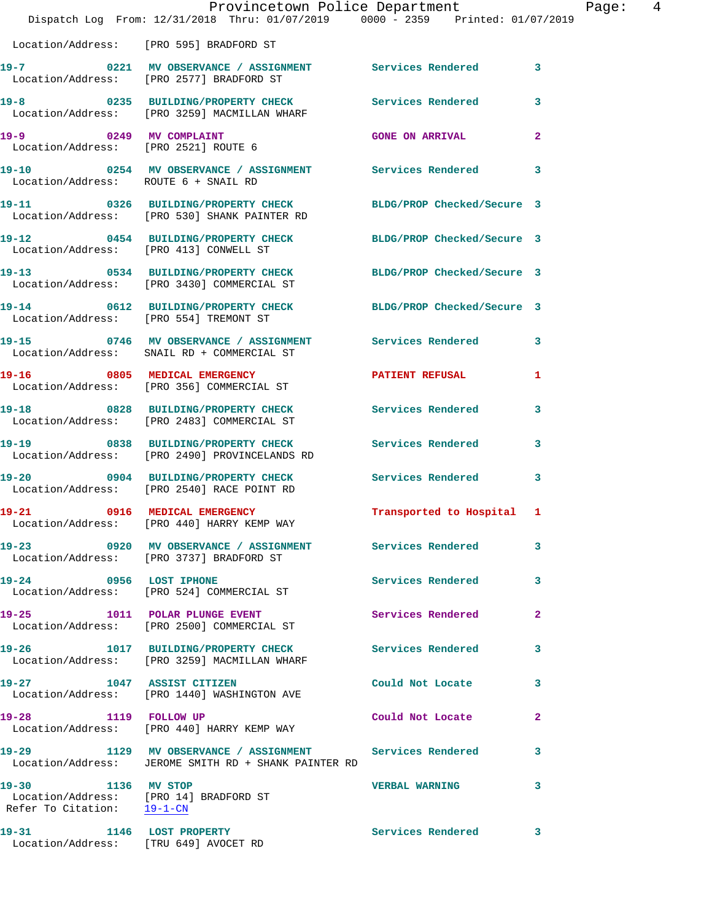|                                                                                            | Provincetown Police Department<br>Dispatch Log From: 12/31/2018 Thru: 01/07/2019 0000 - 2359 Printed: 01/07/2019 |                            |                         |
|--------------------------------------------------------------------------------------------|------------------------------------------------------------------------------------------------------------------|----------------------------|-------------------------|
|                                                                                            | Location/Address: [PRO 595] BRADFORD ST                                                                          |                            |                         |
|                                                                                            | 19-7 0221 MV OBSERVANCE / ASSIGNMENT Services Rendered<br>Location/Address: [PRO 2577] BRADFORD ST               |                            | 3                       |
|                                                                                            | 19-8 0235 BUILDING/PROPERTY CHECK Services Rendered<br>Location/Address: [PRO 3259] MACMILLAN WHARF              |                            | 3                       |
| 19-9 0249 MV COMPLAINT<br>Location/Address: [PRO 2521] ROUTE 6                             |                                                                                                                  | <b>GONE ON ARRIVAL</b>     | $\overline{a}$          |
| Location/Address: ROUTE 6 + SNAIL RD                                                       | 19-10 0254 MV OBSERVANCE / ASSIGNMENT Services Rendered                                                          |                            | 3                       |
|                                                                                            | 19-11 0326 BUILDING/PROPERTY CHECK<br>Location/Address: [PRO 530] SHANK PAINTER RD                               | BLDG/PROP Checked/Secure 3 |                         |
| Location/Address: [PRO 413] CONWELL ST                                                     | 19-12 0454 BUILDING/PROPERTY CHECK BLDG/PROP Checked/Secure 3                                                    |                            |                         |
|                                                                                            | 19-13 0534 BUILDING/PROPERTY CHECK<br>Location/Address: [PRO 3430] COMMERCIAL ST                                 | BLDG/PROP Checked/Secure 3 |                         |
|                                                                                            | 19-14 0612 BUILDING/PROPERTY CHECK BLDG/PROP Checked/Secure 3<br>Location/Address: [PRO 554] TREMONT ST          |                            |                         |
|                                                                                            | 19-15 0746 MV OBSERVANCE / ASSIGNMENT Services Rendered<br>Location/Address: SNAIL RD + COMMERCIAL ST            |                            | 3                       |
|                                                                                            | 19-16 0805 MEDICAL EMERGENCY<br>Location/Address: [PRO 356] COMMERCIAL ST                                        | <b>PATIENT REFUSAL</b>     | 1                       |
|                                                                                            | 19-18 0828 BUILDING/PROPERTY CHECK<br>Location/Address: [PRO 2483] COMMERCIAL ST                                 | Services Rendered          | 3                       |
|                                                                                            | 19-19 19 0838 BUILDING/PROPERTY CHECK Services Rendered<br>Location/Address: [PRO 2490] PROVINCELANDS RD         |                            | 3                       |
|                                                                                            | 19-20 0904 BUILDING/PROPERTY CHECK<br>Location/Address: [PRO 2540] RACE POINT RD                                 | Services Rendered          | $\overline{\mathbf{3}}$ |
|                                                                                            | Location/Address: [PRO 440] HARRY KEMP WAY                                                                       | Transported to Hospital 1  |                         |
|                                                                                            | 19-23 0920 MV OBSERVANCE / ASSIGNMENT Services Rendered<br>Location/Address: [PRO 3737] BRADFORD ST              |                            | 3                       |
| 19-24 0956 LOST IPHONE                                                                     | Location/Address: [PRO 524] COMMERCIAL ST                                                                        | <b>Services Rendered</b>   | 3                       |
|                                                                                            | 19-25 1011 POLAR PLUNGE EVENT<br>Location/Address: [PRO 2500] COMMERCIAL ST                                      | Services Rendered          | $\mathbf{2}$            |
|                                                                                            | 19-26 1017 BUILDING/PROPERTY CHECK Services Rendered<br>Location/Address: [PRO 3259] MACMILLAN WHARF             |                            | 3                       |
|                                                                                            | 19-27 1047 ASSIST CITIZEN<br>Location/Address: [PRO 1440] WASHINGTON AVE                                         | Could Not Locate           | 3                       |
| 19-28 1119 FOLLOW UP                                                                       | Location/Address: [PRO 440] HARRY KEMP WAY                                                                       | Could Not Locate           | $\overline{a}$          |
|                                                                                            | 19-29 1129 MV OBSERVANCE / ASSIGNMENT Services Rendered<br>Location/Address: JEROME SMITH RD + SHANK PAINTER RD  |                            | 3                       |
| 19-30 1136 MV STOP<br>Location/Address: [PRO 14] BRADFORD ST<br>Refer To Citation: 19-1-CN |                                                                                                                  | <b>VERBAL WARNING</b>      | 3                       |
| 19-31<br>Location/Address: [TRU 649] AVOCET RD                                             | 1146 LOST PROPERTY                                                                                               | Services Rendered          | 3                       |

Page: 4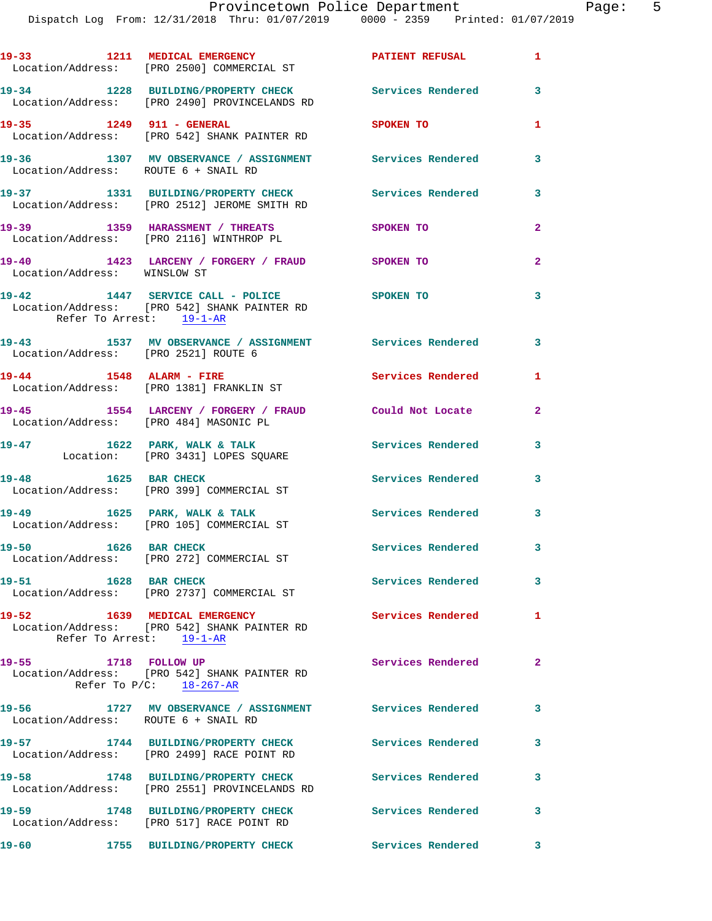Dispatch Log From: 12/31/2018 Thru: 01/07/2019 0000 - 2359 Printed: 01/07/2019

|                                        | 19-33 1211 MEDICAL EMERGENCY<br>Location/Address: [PRO 2500] COMMERCIAL ST                                       | PATIENT REFUSAL 1        |                         |
|----------------------------------------|------------------------------------------------------------------------------------------------------------------|--------------------------|-------------------------|
|                                        | 19-34 1228 BUILDING/PROPERTY CHECK<br>Location/Address: [PRO 2490] PROVINCELANDS RD                              | Services Rendered        | $\overline{\mathbf{3}}$ |
| 19-35 1249 911 - GENERAL               | Location/Address: [PRO 542] SHANK PAINTER RD                                                                     | SPOKEN TO                | 1                       |
| Location/Address: ROUTE 6 + SNAIL RD   | 19-36 1307 MV OBSERVANCE / ASSIGNMENT Services Rendered                                                          |                          | 3                       |
|                                        | 19-37 1331 BUILDING/PROPERTY CHECK Services Rendered<br>Location/Address: [PRO 2512] JEROME SMITH RD             |                          | 3                       |
|                                        | 19-39 1359 HARASSMENT / THREATS<br>Location/Address: [PRO 2116] WINTHROP PL                                      | <b>SPOKEN TO</b>         | $\overline{a}$          |
| Location/Address: WINSLOW ST           | 19-40 1423 LARCENY / FORGERY / FRAUD SPOKEN TO                                                                   |                          | $\overline{2}$          |
| $19 - 42$                              | 1447 SERVICE CALL - POLICE SPOKEN TO<br>Location/Address: [PRO 542] SHANK PAINTER RD<br>Refer To Arrest: 19-1-AR |                          | 3                       |
| Location/Address: [PRO 2521] ROUTE 6   | 19-43 1537 MV OBSERVANCE / ASSIGNMENT Services Rendered 3                                                        |                          |                         |
| 19-44 1548 ALARM - FIRE                | Location/Address: [PRO 1381] FRANKLIN ST                                                                         | Services Rendered        | 1                       |
| Location/Address: [PRO 484] MASONIC PL | 19-45 1554 LARCENY / FORGERY / FRAUD                                                                             | Could Not Locate         | $\mathbf{2}$            |
|                                        | 19-47 1622 PARK, WALK & TALK<br>Location: [PRO 3431] LOPES SQUARE                                                | <b>Services Rendered</b> | 3                       |
| 19-48 1625 BAR CHECK                   | Location/Address: [PRO 399] COMMERCIAL ST                                                                        | <b>Services Rendered</b> | $\overline{\mathbf{3}}$ |
|                                        | 19-49 1625 PARK, WALK & TALK<br>Location/Address: [PRO 105] COMMERCIAL ST                                        | Services Rendered 3      |                         |
| 1626 BAR CHECK<br>$19 - 50$            | Location/Address: [PRO 272] COMMERCIAL ST                                                                        | Services Rendered 3      |                         |
| 1628 BAR CHECK<br>$19 - 51$            | Location/Address: [PRO 2737] COMMERCIAL ST                                                                       | Services Rendered 3      |                         |
|                                        | 19-52 1639 MEDICAL EMERGENCY<br>Location/Address: [PRO 542] SHANK PAINTER RD<br>Refer To Arrest: 19-1-AR         | <b>Services Rendered</b> | 1                       |
| 19-55 1718 FOLLOW UP                   | Location/Address: [PRO 542] SHANK PAINTER RD<br>Refer To $P/C$ : $18-267-AR$                                     | Services Rendered        | $\overline{\mathbf{2}}$ |
| Location/Address: ROUTE 6 + SNAIL RD   | 19-56 1727 MV OBSERVANCE / ASSIGNMENT Services Rendered                                                          |                          | 3                       |
|                                        | 19-57 1744 BUILDING/PROPERTY CHECK<br>Location/Address: [PRO 2499] RACE POINT RD                                 | <b>Services Rendered</b> | 3                       |
| $19 - 58$                              | 1748 BUILDING/PROPERTY CHECK Services Rendered<br>Location/Address: [PRO 2551] PROVINCELANDS RD                  |                          | 3                       |
|                                        | 19-59 1748 BUILDING/PROPERTY CHECK Services Rendered<br>Location/Address: [PRO 517] RACE POINT RD                |                          | 3                       |
| 19-60                                  | 1755 BUILDING/PROPERTY CHECK Services Rendered 3                                                                 |                          |                         |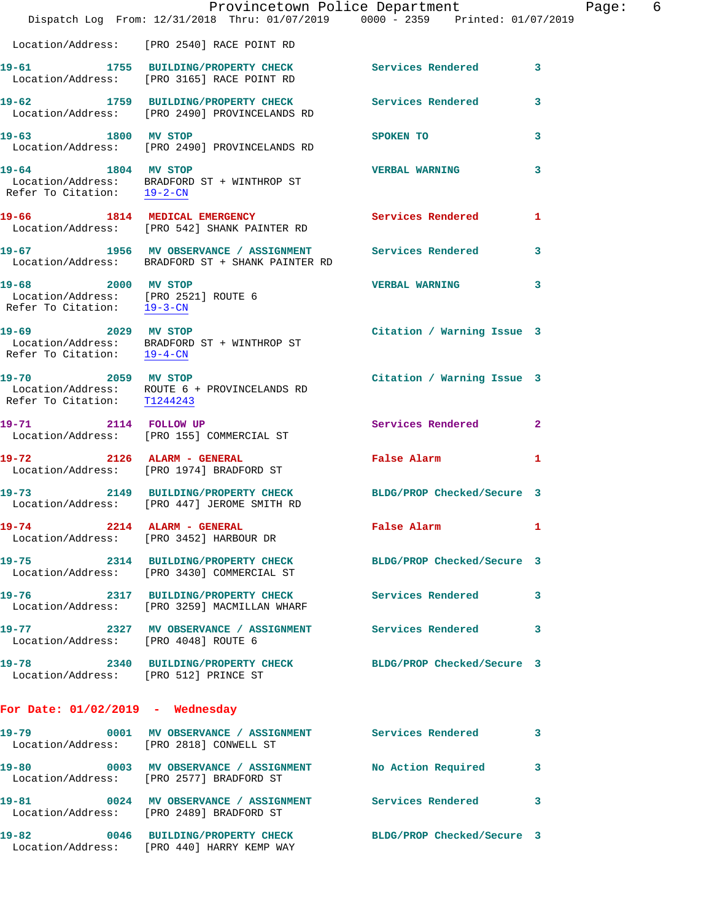|                                                                                          | Dispatch Log From: 12/31/2018 Thru: 01/07/2019 0000 - 2359 Printed: 01/07/2019                              | Provincetown Police Department | Page: 6      |
|------------------------------------------------------------------------------------------|-------------------------------------------------------------------------------------------------------------|--------------------------------|--------------|
|                                                                                          | Location/Address: [PRO 2540] RACE POINT RD                                                                  |                                |              |
| $19 - 61$                                                                                | 1755 BUILDING/PROPERTY CHECK Services Rendered 3<br>Location/Address: [PRO 3165] RACE POINT RD              |                                |              |
|                                                                                          | 19-62 1759 BUILDING/PROPERTY CHECK<br>Location/Address: [PRO 2490] PROVINCELANDS RD                         | Services Rendered              | 3            |
| 1800 MV STOP<br>19-63                                                                    | Location/Address: [PRO 2490] PROVINCELANDS RD                                                               | SPOKEN TO                      | 3            |
| 19-64 1804 MV STOP                                                                       | Location/Address: BRADFORD ST + WINTHROP ST<br>Refer To Citation: $\frac{19-2-CN}{\pi}$                     | <b>VERBAL WARNING</b>          | 3            |
|                                                                                          | 19-66 1814 MEDICAL EMERGENCY<br>Location/Address: [PRO 542] SHANK PAINTER RD                                | Services Rendered              | 1            |
|                                                                                          | 19-67 1956 MV OBSERVANCE / ASSIGNMENT Services Rendered<br>Location/Address: BRADFORD ST + SHANK PAINTER RD |                                | $\mathbf{3}$ |
| 19-68 2000 MV STOP<br>Location/Address: [PRO 2521] ROUTE 6<br>Refer To Citation: 19-3-CN |                                                                                                             | <b>VERBAL WARNING</b>          | 3            |
| 2029 MV STOP<br>19-69                                                                    | Location/Address: BRADFORD ST + WINTHROP ST<br>Refer To Citation: $\frac{19-4-CN}{\pi}$                     | Citation / Warning Issue 3     |              |
| 19-70 2059 MV STOP<br>Refer To Citation: T1244243                                        | Location/Address: ROUTE 6 + PROVINCELANDS RD                                                                | Citation / Warning Issue 3     |              |
| 19-71 2114 FOLLOW UP                                                                     | Location/Address: [PRO 155] COMMERCIAL ST                                                                   | Services Rendered              | $\mathbf{2}$ |
| 19-72 2126 ALARM - GENERAL                                                               | Location/Address: [PRO 1974] BRADFORD ST                                                                    | False Alarm                    | 1            |
| $19 - 73$                                                                                | 2149 BUILDING/PROPERTY CHECK<br>Location/Address: [PRO 447] JEROME SMITH RD                                 | BLDG/PROP Checked/Secure 3     |              |
|                                                                                          | 19-74 2214 ALARM - GENERAL<br>Location/Address: [PRO 3452] HARBOUR DR                                       | False Alarm                    | 1            |
|                                                                                          | 19-75 2314 BUILDING/PROPERTY CHECK BLDG/PROP Checked/Secure 3<br>Location/Address: [PRO 3430] COMMERCIAL ST |                                |              |
|                                                                                          | 19-76 2317 BUILDING/PROPERTY CHECK Services Rendered 3<br>Location/Address: [PRO 3259] MACMILLAN WHARF      |                                |              |
| Location/Address: [PRO 4048] ROUTE 6                                                     | 19-77 2327 MV OBSERVANCE / ASSIGNMENT Services Rendered 3                                                   |                                |              |
| Location/Address: [PRO 512] PRINCE ST                                                    | 19-78 2340 BUILDING/PROPERTY CHECK BLDG/PROP Checked/Secure 3                                               |                                |              |
| For Date: $01/02/2019$ - Wednesday                                                       |                                                                                                             |                                |              |
|                                                                                          | 19-79 0001 MV OBSERVANCE / ASSIGNMENT Services Rendered 3<br>Location/Address: [PRO 2818] CONWELL ST        |                                |              |
|                                                                                          | 19-80 0003 MV OBSERVANCE / ASSIGNMENT No Action Required 3<br>Location/Address: [PRO 2577] BRADFORD ST      |                                |              |
|                                                                                          | 19-81 0024 MV OBSERVANCE / ASSIGNMENT Services Rendered 3<br>Location/Address: [PRO 2489] BRADFORD ST       |                                |              |
|                                                                                          | 19-82 0046 BUILDING/PROPERTY CHECK BLDG/PROP Checked/Secure 3<br>Location/Address: [PRO 440] HARRY KEMP WAY |                                |              |
|                                                                                          |                                                                                                             |                                |              |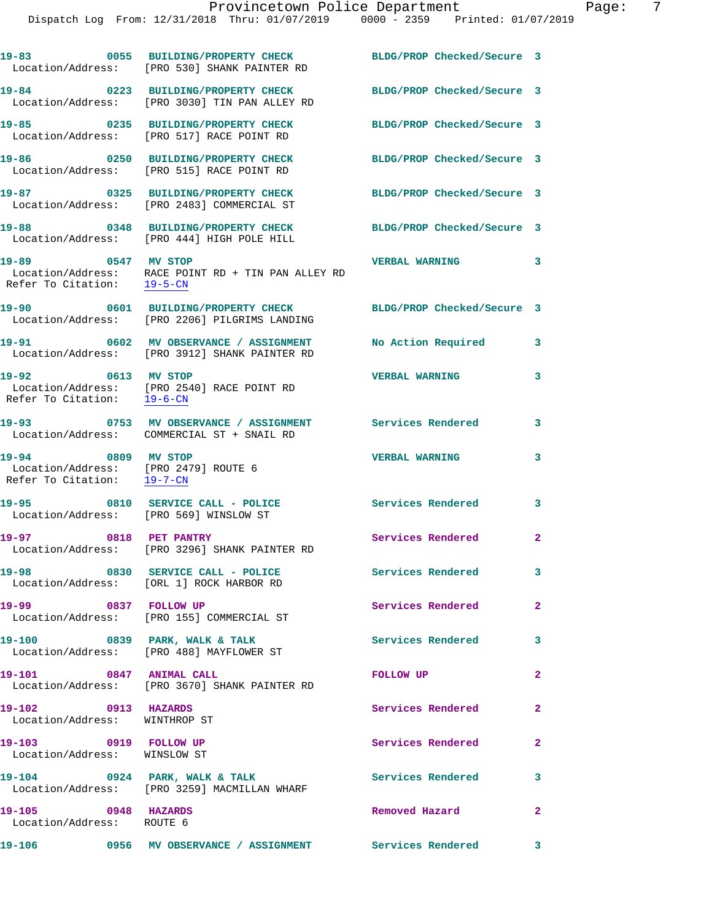**19-83 0055 BUILDING/PROPERTY CHECK BLDG/PROP Checked/Secure 3**  Location/Address: [PRO 530] SHANK PAINTER RD **19-84 0223 BUILDING/PROPERTY CHECK BLDG/PROP Checked/Secure 3**  Location/Address: [PRO 3030] TIN PAN ALLEY RD **19-85 0235 BUILDING/PROPERTY CHECK BLDG/PROP Checked/Secure 3**  Location/Address: [PRO 517] RACE POINT RD **19-86 0250 BUILDING/PROPERTY CHECK BLDG/PROP Checked/Secure 3**  Location/Address: [PRO 515] RACE POINT RD **19-87 0325 BUILDING/PROPERTY CHECK BLDG/PROP Checked/Secure 3**  Location/Address: [PRO 2483] COMMERCIAL ST **19-88 0348 BUILDING/PROPERTY CHECK BLDG/PROP Checked/Secure 3**  Location/Address: [PRO 444] HIGH POLE HILL **19-89 0547 MV STOP VERBAL WARNING 3**  Location/Address: RACE POINT RD + TIN PAN ALLEY RD Refer To Citation: 19-5-CN **19-90 0601 BUILDING/PROPERTY CHECK BLDG/PROP Checked/Secure 3**  Location/Address: [PRO 2206] PILGRIMS LANDING **19-91 0602 MV OBSERVANCE / ASSIGNMENT No Action Required 3**  Location/Address: [PRO 3912] SHANK PAINTER RD **19-92 0613 MV STOP VERBAL WARNING 3**  Location/Address: [PRO 2540] RACE POINT RD Refer To Citation: 19-6-CN **19-93 0753 MV OBSERVANCE / ASSIGNMENT Services Rendered 3**  Location/Address: COMMERCIAL ST + SNAIL RD **19-94 0809 MV STOP VERBAL WARNING 3**  Location/Address: [PRO 2479] ROUTE 6<br>Refer To Citation: 19-7-CN Refer To Citation: 19-95 0810 SERVICE CALL - POLICE Services Rendered 3 Location/Address: [PRO 569] WINSLOW ST **19-97 0818 PET PANTRY Services Rendered 2**  Location/Address: [PRO 3296] SHANK PAINTER RD **19-98 0830 SERVICE CALL - POLICE Services Rendered 3**  Location/Address: [ORL 1] ROCK HARBOR RD **19-99 0837 FOLLOW UP Services Rendered 2**  Location/Address: [PRO 155] COMMERCIAL ST 19-100 0839 PARK, WALK & TALK Services Rendered 3 Location/Address: [PRO 488] MAYFLOWER ST **19-101 0847 ANIMAL CALL FOLLOW UP 2**  Location/Address: [PRO 3670] SHANK PAINTER RD **19-102 0913 HAZARDS Services Rendered 2**  Location/Address: WINTHROP ST 19-103 0919 FOLLOW UP **Services Rendered** 2 Location/Address: WINSLOW ST **19-104 0924 PARK, WALK & TALK Services Rendered 3**  Location/Address: [PRO 3259] MACMILLAN WHARF **19-105 0948 HAZARDS Removed Hazard 2**  Location/Address: ROUTE 6 **19-106 0956 MV OBSERVANCE / ASSIGNMENT Services Rendered 3**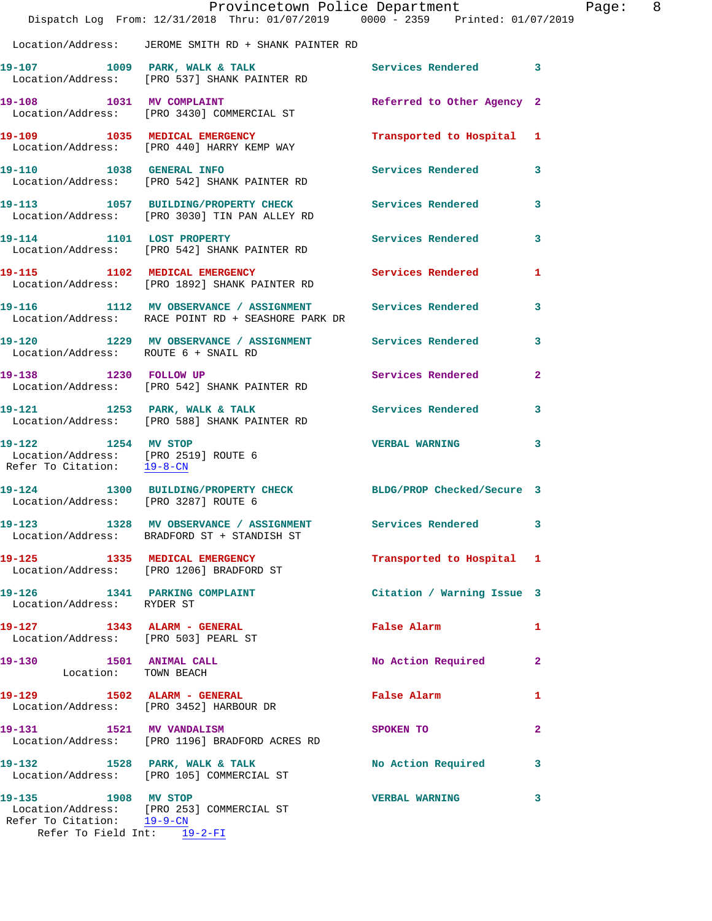|                                                                                             | Provincetown Police Department<br>Dispatch Log From: 12/31/2018 Thru: 01/07/2019 0000 - 2359 Printed: 01/07/2019 |                            |                | Page: 8 |  |
|---------------------------------------------------------------------------------------------|------------------------------------------------------------------------------------------------------------------|----------------------------|----------------|---------|--|
|                                                                                             | Location/Address: JEROME SMITH RD + SHANK PAINTER RD                                                             |                            |                |         |  |
|                                                                                             | 19-107 1009 PARK, WALK & TALK 1998 Services Rendered 3<br>Location/Address: [PRO 537] SHANK PAINTER RD           |                            |                |         |  |
|                                                                                             | 19-108 1031 MV COMPLAINT<br>Location/Address: [PRO 3430] COMMERCIAL ST                                           | Referred to Other Agency 2 |                |         |  |
|                                                                                             | 19-109 1035 MEDICAL EMERGENCY<br>Location/Address: [PRO 440] HARRY KEMP WAY                                      | Transported to Hospital 1  |                |         |  |
|                                                                                             | 19-110 1038 GENERAL INFO<br>Location/Address: [PRO 542] SHANK PAINTER RD                                         | Services Rendered          | 3              |         |  |
|                                                                                             | 19-113 1057 BUILDING/PROPERTY CHECK Services Rendered 3<br>Location/Address: [PRO 3030] TIN PAN ALLEY RD         |                            |                |         |  |
|                                                                                             | 19-114 1101 LOST PROPERTY<br>Location/Address: [PRO 542] SHANK PAINTER RD                                        | <b>Services Rendered</b>   | 3              |         |  |
|                                                                                             | 19-115 1102 MEDICAL EMERGENCY<br>Location/Address: [PRO 1892] SHANK PAINTER RD                                   | Services Rendered          | $\mathbf{1}$   |         |  |
|                                                                                             | 19-116 1112 MV OBSERVANCE / ASSIGNMENT Services Rendered<br>Location/Address: RACE POINT RD + SEASHORE PARK DR   |                            | 3              |         |  |
| Location/Address: ROUTE 6 + SNAIL RD                                                        | 19-120 1229 MV OBSERVANCE / ASSIGNMENT Services Rendered                                                         |                            | 3              |         |  |
|                                                                                             | 19-138 1230 FOLLOW UP<br>Location/Address: [PRO 542] SHANK PAINTER RD                                            | Services Rendered          | $\overline{a}$ |         |  |
|                                                                                             | 19-121 1253 PARK, WALK & TALK<br>Location/Address: [PRO 588] SHANK PAINTER RD                                    | Services Rendered          | 3              |         |  |
| 19-122 1254 MV STOP<br>Location/Address: [PRO 2519] ROUTE 6<br>Refer To Citation: $19-8-CN$ |                                                                                                                  | <b>VERBAL WARNING</b>      | 3              |         |  |
|                                                                                             | 19-124 1300 BUILDING/PROPERTY CHECK BLDG/PROP Checked/Secure 3<br>Location/Address: [PRO 3287] ROUTE 6           |                            |                |         |  |
|                                                                                             | 19-123 1328 MV OBSERVANCE / ASSIGNMENT<br>Location/Address: BRADFORD ST + STANDISH ST                            | Services Rendered 3        |                |         |  |
|                                                                                             | 19-125 1335 MEDICAL EMERGENCY<br>Location/Address: [PRO 1206] BRADFORD ST                                        | Transported to Hospital 1  |                |         |  |
| Location/Address: RYDER ST                                                                  | 19-126 1341 PARKING COMPLAINT                                                                                    | Citation / Warning Issue 3 |                |         |  |
| Location/Address: [PRO 503] PEARL ST                                                        | 19-127 1343 ALARM - GENERAL                                                                                      | <b>False Alarm</b>         | $\mathbf{1}$   |         |  |
| 19-130 1501 ANIMAL CALL<br>Location: TOWN BEACH                                             |                                                                                                                  | No Action Required         | $\mathbf{2}$   |         |  |
|                                                                                             | 19-129 1502 ALARM - GENERAL<br>Location/Address: [PRO 3452] HARBOUR DR                                           | False Alarm                | 1              |         |  |
| 19-131 1521 MV VANDALISM                                                                    | Location/Address: [PRO 1196] BRADFORD ACRES RD                                                                   | SPOKEN TO                  | $\overline{2}$ |         |  |
|                                                                                             | 19-132 1528 PARK, WALK & TALK 1998 No Action Required<br>Location/Address: [PRO 105] COMMERCIAL ST               |                            | 3              |         |  |
| 19-135 1908 MV STOP<br>Refer To Citation: 19-9-CN                                           | Location/Address: [PRO 253] COMMERCIAL ST                                                                        | <b>VERBAL WARNING</b>      | 3              |         |  |
| Refer To Field Int: 19-2-FI                                                                 |                                                                                                                  |                            |                |         |  |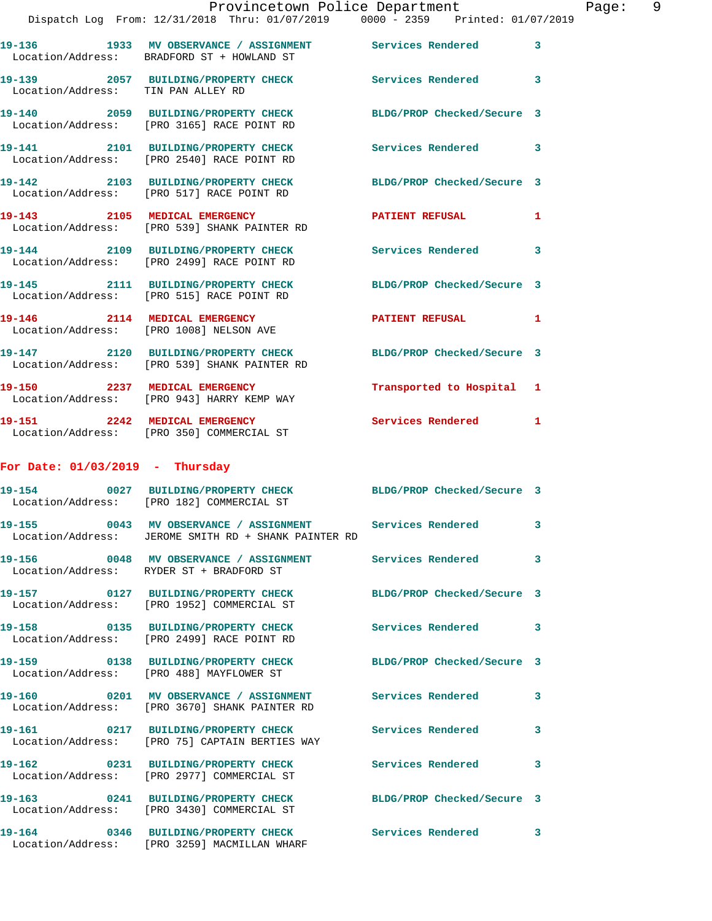|                                    | Provincetown Police Department                                                                                   |                            |   |
|------------------------------------|------------------------------------------------------------------------------------------------------------------|----------------------------|---|
|                                    | Dispatch Log From: 12/31/2018 Thru: 01/07/2019 0000 - 2359 Printed: 01/07/2019                                   |                            |   |
|                                    | 19-136 1933 MV OBSERVANCE / ASSIGNMENT Services Rendered<br>Location/Address: BRADFORD ST + HOWLAND ST           |                            | 3 |
| Location/Address: TIN PAN ALLEY RD | 19-139 2057 BUILDING/PROPERTY CHECK Services Rendered                                                            |                            | 3 |
|                                    | 19-140 2059 BUILDING/PROPERTY CHECK<br>Location/Address: [PRO 3165] RACE POINT RD                                | BLDG/PROP Checked/Secure 3 |   |
|                                    | 19-141 2101 BUILDING/PROPERTY CHECK Services Rendered<br>Location/Address: [PRO 2540] RACE POINT RD              |                            | 3 |
|                                    | 19-142 2103 BUILDING/PROPERTY CHECK<br>Location/Address: [PRO 517] RACE POINT RD                                 | BLDG/PROP Checked/Secure 3 |   |
|                                    | 19-143 2105 MEDICAL EMERGENCY<br>Location/Address: [PRO 539] SHANK PAINTER RD                                    | <b>PATIENT REFUSAL</b>     | 1 |
|                                    | 19-144 2109 BUILDING/PROPERTY CHECK Services Rendered<br>Location/Address: [PRO 2499] RACE POINT RD              |                            | 3 |
|                                    | 19-145 2111 BUILDING/PROPERTY CHECK BLDG/PROP Checked/Secure 3<br>Location/Address: [PRO 515] RACE POINT RD      |                            |   |
|                                    | 19-146 2114 MEDICAL EMERGENCY<br>Location/Address: [PRO 1008] NELSON AVE                                         | PATIENT REFUSAL            | 1 |
|                                    | 19-147 2120 BUILDING/PROPERTY CHECK BLDG/PROP Checked/Secure 3<br>Location/Address: [PRO 539] SHANK PAINTER RD   |                            |   |
| 19-150 2237 MEDICAL EMERGENCY      | Location/Address: [PRO 943] HARRY KEMP WAY                                                                       | Transported to Hospital    | 1 |
|                                    | 19-151 2242 MEDICAL EMERGENCY<br>Location/Address: [PRO 350] COMMERCIAL ST                                       | <b>Services Rendered</b>   | 1 |
| For Date: $01/03/2019$ - Thursday  |                                                                                                                  |                            |   |
|                                    | 19-154 0027 BUILDING/PROPERTY CHECK<br>Location/Address: [PRO 182] COMMERCIAL ST                                 | BLDG/PROP Checked/Secure 3 |   |
|                                    | 19-155 0043 MV OBSERVANCE / ASSIGNMENT Services Rendered<br>Location/Address: JEROME SMITH RD + SHANK PAINTER RD |                            | 3 |
|                                    | 19-156 0048 MV OBSERVANCE / ASSIGNMENT Services Rendered<br>Location/Address: RYDER ST + BRADFORD ST             |                            | 3 |
|                                    | 19-157 0127 BUILDING/PROPERTY CHECK<br>Location/Address: [PRO 1952] COMMERCIAL ST                                | BLDG/PROP Checked/Secure 3 |   |
|                                    | 19-158 0135 BUILDING/PROPERTY CHECK<br>Location/Address: [PRO 2499] RACE POINT RD                                | <b>Services Rendered</b>   | 3 |
|                                    | 19-159 0138 BUILDING/PROPERTY CHECK<br>Location/Address: [PRO 488] MAYFLOWER ST                                  | BLDG/PROP Checked/Secure 3 |   |
|                                    | 19-160 0201 MV OBSERVANCE / ASSIGNMENT Services Rendered<br>Location/Address: [PRO 3670] SHANK PAINTER RD        |                            | 3 |
| 19-161                             | 0217 BUILDING/PROPERTY CHECK Services Rendered<br>Location/Address: [PRO 75] CAPTAIN BERTIES WAY                 |                            | 3 |

**19-162 0231 BUILDING/PROPERTY CHECK Services Rendered 3**  Location/Address: [PRO 2977] COMMERCIAL ST **19-163 0241 BUILDING/PROPERTY CHECK BLDG/PROP Checked/Secure 3**  Location/Address: [PRO 3430] COMMERCIAL ST

**19-164 0346 BUILDING/PROPERTY CHECK Services Rendered 3**  Location/Address: [PRO 3259] MACMILLAN WHARF

Page: 9<br>019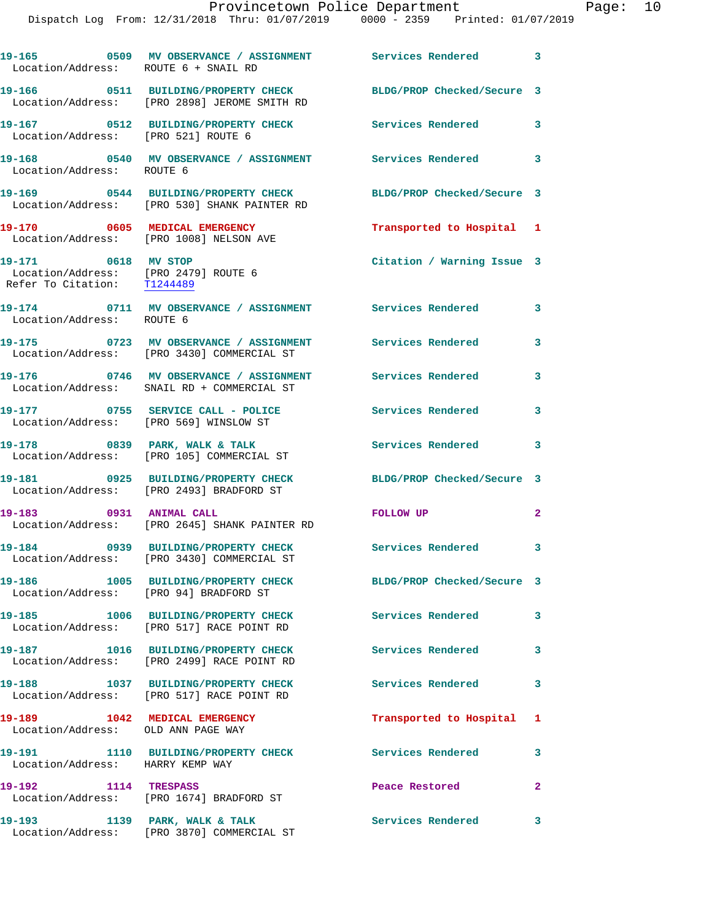Dispatch Log From: 12/31/2018 Thru: 01/07/2019 0000 - 2359 Printed: 01/07/2019

| Location/Address: ROUTE 6 + SNAIL RD                                                       | 19-165 0509 MV OBSERVANCE / ASSIGNMENT Services Rendered 3                                                  |                               |                         |
|--------------------------------------------------------------------------------------------|-------------------------------------------------------------------------------------------------------------|-------------------------------|-------------------------|
|                                                                                            | 19-166 0511 BUILDING/PROPERTY CHECK<br>Location/Address: [PRO 2898] JEROME SMITH RD                         | BLDG/PROP Checked/Secure 3    |                         |
| Location/Address: [PRO 521] ROUTE 6                                                        | 19-167 0512 BUILDING/PROPERTY CHECK Services Rendered 3                                                     |                               |                         |
|                                                                                            |                                                                                                             |                               |                         |
|                                                                                            | 19-169 0544 BUILDING/PROPERTY CHECK<br>Location/Address: [PRO 530] SHANK PAINTER RD                         | BLDG/PROP Checked/Secure 3    |                         |
|                                                                                            | 19-170 0605 MEDICAL EMERGENCY<br>Location/Address: [PRO 1008] NELSON AVE                                    | Transported to Hospital 1     |                         |
| 19-171 0618 MV STOP<br>Location/Address: [PRO 2479] ROUTE 6<br>Refer To Citation: T1244489 |                                                                                                             | Citation / Warning Issue 3    |                         |
| Location/Address: ROUTE 6                                                                  | 19-174 0711 MV OBSERVANCE / ASSIGNMENT Services Rendered 3                                                  |                               |                         |
|                                                                                            | 19-175 0723 MV OBSERVANCE / ASSIGNMENT Services Rendered<br>Location/Address: [PRO 3430] COMMERCIAL ST      |                               | 3                       |
|                                                                                            | 19-176 		 0746 MV OBSERVANCE / ASSIGNMENT Services Rendered 3<br>Location/Address: SNAIL RD + COMMERCIAL ST |                               |                         |
| Location/Address: [PRO 569] WINSLOW ST                                                     | 19-177 0755 SERVICE CALL - POLICE                                                                           | <b>Services Rendered</b>      | 3                       |
|                                                                                            | 19-178 0839 PARK, WALK & TALK<br>Location/Address: [PRO 105] COMMERCIAL ST                                  | Services Rendered 3           |                         |
|                                                                                            | 19-181 0925 BUILDING/PROPERTY CHECK<br>Location/Address: [PRO 2493] BRADFORD ST                             | BLDG/PROP Checked/Secure 3    |                         |
| 19-183 0931 ANIMAL CALL                                                                    | Location/Address: [PRO 2645] SHANK PAINTER RD                                                               | FOLLOW UP                     | $\mathbf{2}$            |
|                                                                                            | 19-184 0939 BUILDING/PROPERTY CHECK<br>Location/Address: [PRO 3430] COMMERCIAL ST                           | Services Rendered 3           |                         |
| Location/Address: [PRO 94] BRADFORD ST                                                     | 19-186 1005 BUILDING/PROPERTY CHECK                                                                         | BLDG/PROP Checked/Secure 3    |                         |
|                                                                                            | 19-185 1006 BUILDING/PROPERTY CHECK<br>Location/Address: [PRO 517] RACE POINT RD                            | <b>Services Rendered</b>      | $\overline{\mathbf{3}}$ |
|                                                                                            | 19-187 1016 BUILDING/PROPERTY CHECK<br>Location/Address: [PRO 2499] RACE POINT RD                           | Services Rendered<br>$\sim$ 3 |                         |
|                                                                                            | 19-188 1037 BUILDING/PROPERTY CHECK<br>Location/Address: [PRO 517] RACE POINT RD                            | <b>Services Rendered</b>      | 3                       |
| Location/Address: OLD ANN PAGE WAY                                                         | 19-189 1042 MEDICAL EMERGENCY                                                                               | Transported to Hospital       | 1                       |
| Location/Address: HARRY KEMP WAY                                                           | 19-191 1110 BUILDING/PROPERTY CHECK Services Rendered                                                       |                               | 3                       |
| 19-192 1114 TRESPASS                                                                       | Location/Address: [PRO 1674] BRADFORD ST                                                                    | Peace Restored                | $\mathbf{2}$            |
| 19–193                                                                                     | 1139 PARK, WALK & TALK                                                                                      | Services Rendered 3           |                         |

Location/Address: [PRO 3870] COMMERCIAL ST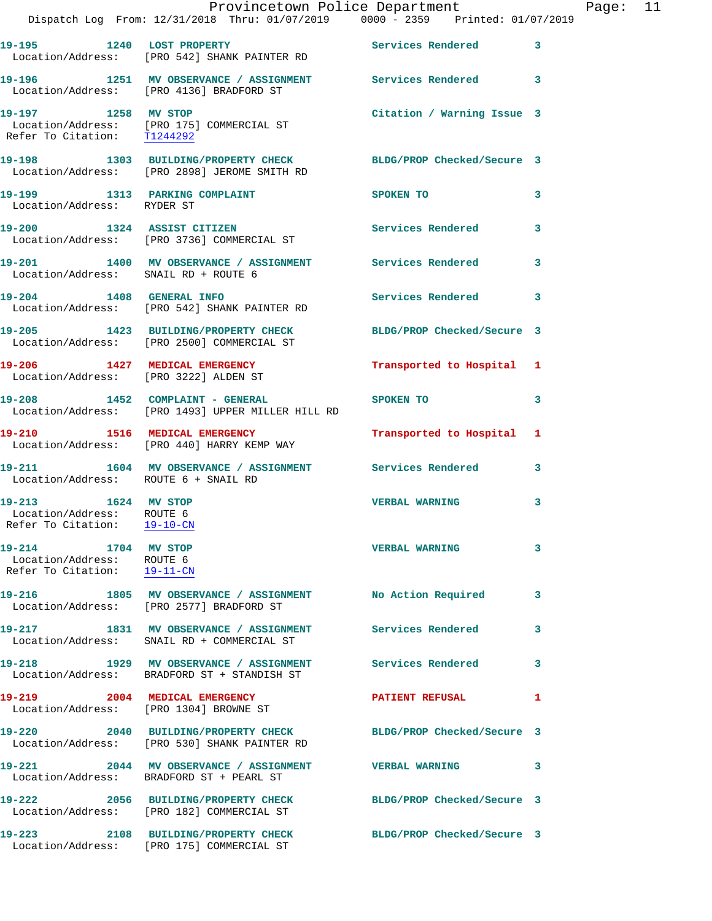|                                                                                 | Dispatch Log From: 12/31/2018 Thru: 01/07/2019   0000 - 2359   Printed: 01/07/2019                             | Provincetown Police Department The Page: 11 |   |  |
|---------------------------------------------------------------------------------|----------------------------------------------------------------------------------------------------------------|---------------------------------------------|---|--|
|                                                                                 | 19-195 1240 LOST PROPERTY 1240 Services Rendered 3<br>Location/Address: [PRO 542] SHANK PAINTER RD             |                                             |   |  |
|                                                                                 | 19-196 1251 MV OBSERVANCE / ASSIGNMENT Services Rendered 3<br>Location/Address: [PRO 4136] BRADFORD ST         |                                             |   |  |
| Refer To Citation: T1244292                                                     | 19-197 1258 MV STOP<br>Location/Address: [PRO 175] COMMERCIAL ST                                               | Citation / Warning Issue 3                  |   |  |
|                                                                                 | 19-198 1303 BUILDING/PROPERTY CHECK BLDG/PROP Checked/Secure 3<br>Location/Address: [PRO 2898] JEROME SMITH RD |                                             |   |  |
| Location/Address: RYDER ST                                                      | 19-199 1313 PARKING COMPLAINT                                                                                  | SPOKEN TO                                   | 3 |  |
|                                                                                 | 19-200 1324 ASSIST CITIZEN<br>Location/Address: [PRO 3736] COMMERCIAL ST                                       | Services Rendered                           | 3 |  |
| Location/Address: SNAIL RD + ROUTE 6                                            | 19-201 1400 MV OBSERVANCE / ASSIGNMENT Services Rendered 3                                                     |                                             |   |  |
|                                                                                 | 19-204 1408 GENERAL INFO<br>Location/Address: [PRO 542] SHANK PAINTER RD                                       | Services Rendered                           | 3 |  |
|                                                                                 | 19-205 1423 BUILDING/PROPERTY CHECK BLDG/PROP Checked/Secure 3<br>Location/Address: [PRO 2500] COMMERCIAL ST   |                                             |   |  |
|                                                                                 | 19-206 1427 MEDICAL EMERGENCY<br>Location/Address: [PRO 3222] ALDEN ST                                         | Transported to Hospital 1                   |   |  |
|                                                                                 | $19-208$ 1452 COMPLAINT - GENERAL<br>Location/Address: [PRO 1493] UPPER MILLER HILL RD                         | SPOKEN TO NAME OF SPOKEN TO                 | 3 |  |
|                                                                                 | 19-210 1516 MEDICAL EMERGENCY<br>Location/Address: [PRO 440] HARRY KEMP WAY                                    | Transported to Hospital 1                   |   |  |
| Location/Address: ROUTE 6 + SNAIL RD                                            | 19-211 1604 MV OBSERVANCE / ASSIGNMENT Services Rendered                                                       |                                             | 3 |  |
| 19-213 1624 MV STOP<br>Location/Address: ROUTE 6<br>Refer To Citation:          | $19 - 10 - CN$                                                                                                 | <b>VERBAL WARNING</b>                       | 3 |  |
| 19-214 1704 MV STOP<br>Location/Address: ROUTE 6<br>Refer To Citation: 19-11-CN |                                                                                                                | <b>VERBAL WARNING</b>                       | 3 |  |
|                                                                                 | 19-216 1805 MV OBSERVANCE / ASSIGNMENT No Action Required<br>Location/Address: [PRO 2577] BRADFORD ST          |                                             | 3 |  |
|                                                                                 | 19-217 1831 MV OBSERVANCE / ASSIGNMENT Services Rendered<br>Location/Address: SNAIL RD + COMMERCIAL ST         |                                             | 3 |  |
|                                                                                 | 19-218 1929 MV OBSERVANCE / ASSIGNMENT Services Rendered<br>Location/Address: BRADFORD ST + STANDISH ST        |                                             | 3 |  |
|                                                                                 | 19-219 2004 MEDICAL EMERGENCY<br>Location/Address: [PRO 1304] BROWNE ST                                        | <b>PATIENT REFUSAL</b>                      | 1 |  |
|                                                                                 | 19-220 2040 BUILDING/PROPERTY CHECK BLDG/PROP Checked/Secure 3<br>Location/Address: [PRO 530] SHANK PAINTER RD |                                             |   |  |
|                                                                                 | 19-221 2044 MV OBSERVANCE / ASSIGNMENT VERBAL WARNING<br>Location/Address: BRADFORD ST + PEARL ST              |                                             | 3 |  |
|                                                                                 | 19-222 2056 BUILDING/PROPERTY CHECK BLDG/PROP Checked/Secure 3<br>Location/Address: [PRO 182] COMMERCIAL ST    |                                             |   |  |
|                                                                                 | 19-223 2108 BUILDING/PROPERTY CHECK<br>Location/Address: [PRO 175] COMMERCIAL ST                               | BLDG/PROP Checked/Secure 3                  |   |  |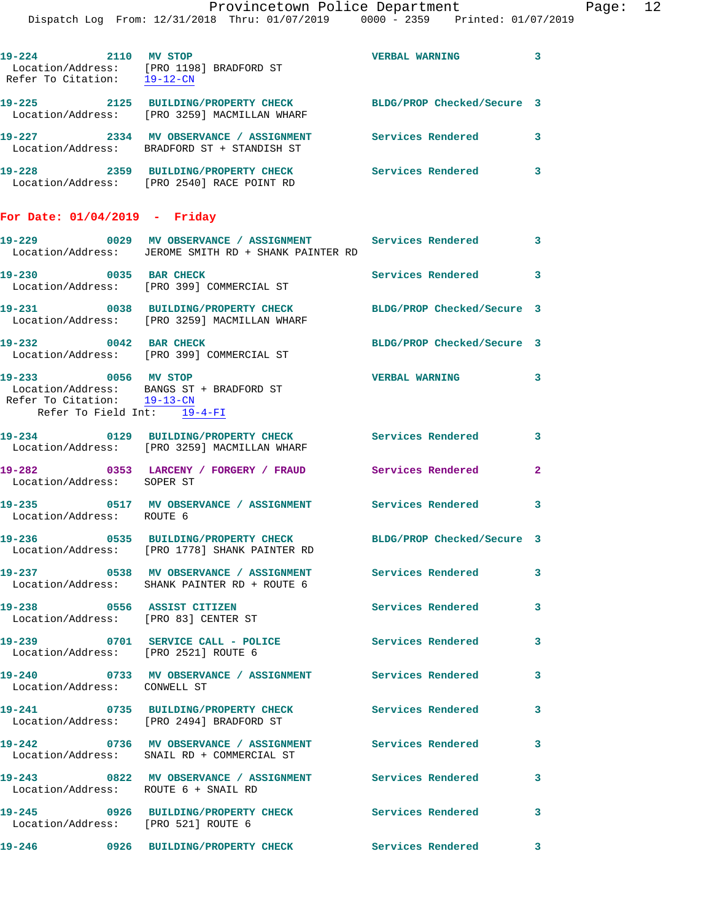**19-224 2110 MV STOP VERBAL WARNING 3**  Location/Address: [PRO 1198] BRADFORD ST Refer To Citation: 19-12-CN **19-225 2125 BUILDING/PROPERTY CHECK BLDG/PROP Checked/Secure 3**  Location/Address: [PRO 3259] MACMILLAN WHARF **19-227 2334 MV OBSERVANCE / ASSIGNMENT Services Rendered 3**  Location/Address: BRADFORD ST + STANDISH ST

**19-228 2359 BUILDING/PROPERTY CHECK Services Rendered 3**  Location/Address: [PRO 2540] RACE POINT RD

## **For Date: 01/04/2019 - Friday**

|                                                                                   | 19-229 0029 MV OBSERVANCE / ASSIGNMENT Services Rendered 3<br>Location/Address: JEROME SMITH RD + SHANK PAINTER RD |                            |              |
|-----------------------------------------------------------------------------------|--------------------------------------------------------------------------------------------------------------------|----------------------------|--------------|
| 19-230 0035 BAR CHECK                                                             | Location/Address: [PRO 399] COMMERCIAL ST                                                                          | Services Rendered 3        |              |
|                                                                                   | 19-231 0038 BUILDING/PROPERTY CHECK<br>Location/Address: [PRO 3259] MACMILLAN WHARF                                | BLDG/PROP Checked/Secure 3 |              |
| 19-232 0042 BAR CHECK                                                             | Location/Address: [PRO 399] COMMERCIAL ST                                                                          | BLDG/PROP Checked/Secure 3 |              |
| 19-233 0056 MV STOP<br>Refer To Citation: 19-13-CN<br>Refer To Field Int: 19-4-FI | Location/Address: BANGS ST + BRADFORD ST                                                                           | <b>VERBAL WARNING</b>      | 3            |
|                                                                                   | 19-234 0129 BUILDING/PROPERTY CHECK<br>Location/Address: [PRO 3259] MACMILLAN WHARF                                | Services Rendered 3        |              |
| Location/Address: SOPER ST                                                        | 19-282 0353 LARCENY / FORGERY / FRAUD Services Rendered                                                            |                            | $\mathbf{2}$ |
| Location/Address: ROUTE 6                                                         | 19-235 0517 MV OBSERVANCE / ASSIGNMENT Services Rendered                                                           |                            | 3            |
|                                                                                   | 19-236 0535 BUILDING/PROPERTY CHECK<br>Location/Address: [PRO 1778] SHANK PAINTER RD                               | BLDG/PROP Checked/Secure 3 |              |
|                                                                                   | 19-237 0538 MV OBSERVANCE / ASSIGNMENT<br>Location/Address: SHANK PAINTER RD + ROUTE 6                             | <b>Services Rendered</b>   | 3            |
| 19-238 0556 ASSIST CITIZEN<br>Location/Address: [PRO 83] CENTER ST                |                                                                                                                    | Services Rendered          | 3            |
| Location/Address: [PRO 2521] ROUTE 6                                              | 19-239 0701 SERVICE CALL - POLICE 3ervices Rendered                                                                |                            | 3            |
| Location/Address: CONWELL ST                                                      | 19-240 0733 MV OBSERVANCE / ASSIGNMENT Services Rendered                                                           |                            | 3            |
| 19-241                                                                            | 0735 BUILDING/PROPERTY CHECK<br>Location/Address: [PRO 2494] BRADFORD ST                                           | Services Rendered          | 3            |
| $19 - 242$                                                                        | 0736 MV OBSERVANCE / ASSIGNMENT<br>Location/Address: SNAIL RD + COMMERCIAL ST                                      | Services Rendered          | 3            |
| 19-243<br>Location/Address: ROUTE 6 + SNAIL RD                                    | 0822 MV OBSERVANCE / ASSIGNMENT                                                                                    | Services Rendered          | 3            |
| Location/Address: [PRO 521] ROUTE 6                                               | 19-245 0926 BUILDING/PROPERTY CHECK                                                                                | <b>Services Rendered</b>   | 3            |
| 19-246                                                                            | 0926 BUILDING/PROPERTY CHECK                                                                                       | Services Rendered          | 3            |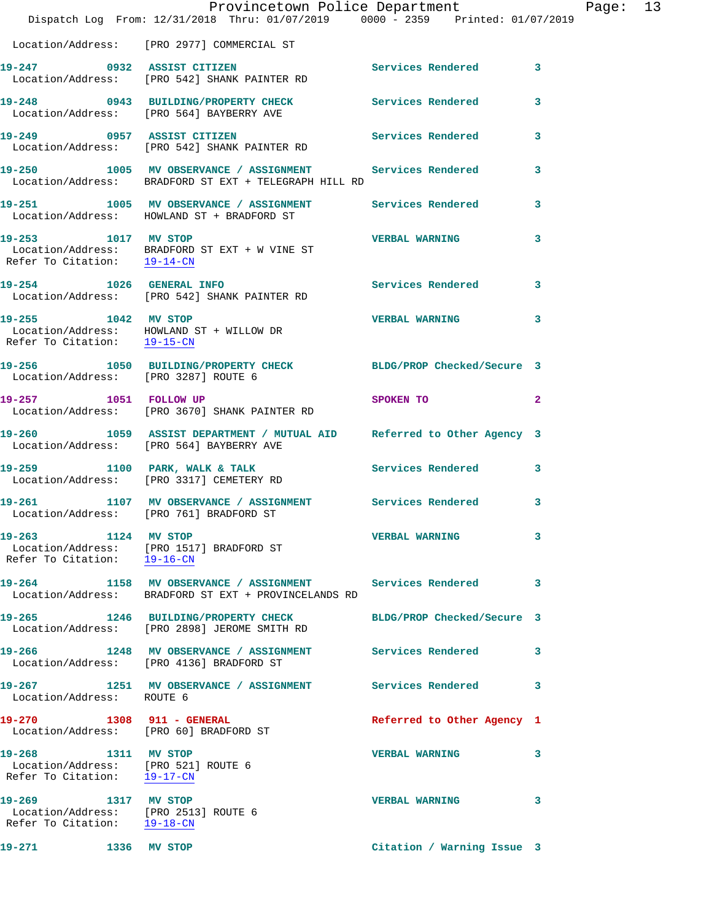|                                                                                            | Dispatch Log From: 12/31/2018 Thru: 01/07/2019 0000 - 2359 Printed: 01/07/2019                                                | Provincetown Police Department |              | Page: 13 |  |
|--------------------------------------------------------------------------------------------|-------------------------------------------------------------------------------------------------------------------------------|--------------------------------|--------------|----------|--|
|                                                                                            | Location/Address: [PRO 2977] COMMERCIAL ST                                                                                    |                                |              |          |  |
|                                                                                            | 19-247 0932 ASSIST CITIZEN<br>Location/Address: [PRO 542] SHANK PAINTER RD                                                    | Services Rendered 3            |              |          |  |
|                                                                                            | 19-248 0943 BUILDING/PROPERTY CHECK<br>Location/Address: [PRO 564] BAYBERRY AVE                                               | Services Rendered              | 3            |          |  |
| 19-249 0957 ASSIST CITIZEN                                                                 | Location/Address: [PRO 542] SHANK PAINTER RD                                                                                  | Services Rendered              | $\mathbf{3}$ |          |  |
|                                                                                            | 19-250 1005 MV OBSERVANCE / ASSIGNMENT Services Rendered<br>Location/Address: BRADFORD ST EXT + TELEGRAPH HILL RD             |                                | 3            |          |  |
|                                                                                            | 19-251 1005 MV OBSERVANCE / ASSIGNMENT Services Rendered<br>Location/Address: HOWLAND ST + BRADFORD ST                        |                                | $\mathbf{3}$ |          |  |
|                                                                                            | 19-253 1017 MV STOP<br>Location/Address: BRADFORD ST EXT + W VINE ST<br>Refer To Citation: $\frac{19-14-CN}{\sqrt{19-14-CN}}$ | <b>VERBAL WARNING</b>          | 3            |          |  |
|                                                                                            | 19-254 1026 GENERAL INFO<br>Location/Address: [PRO 542] SHANK PAINTER RD                                                      | <b>Services Rendered</b>       | 3            |          |  |
| 19-255 1042 MV STOP<br>Refer To Citation: 19-15-CN                                         | Location/Address: HOWLAND ST + WILLOW DR                                                                                      | VERBAL WARNING 3               |              |          |  |
| Location/Address: [PRO 3287] ROUTE 6                                                       | 19-256 1050 BUILDING/PROPERTY CHECK BLDG/PROP Checked/Secure 3                                                                |                                |              |          |  |
| 19-257 1051 FOLLOW UP                                                                      | Location/Address: [PRO 3670] SHANK PAINTER RD                                                                                 | SPOKEN TO                      | $\mathbf{2}$ |          |  |
|                                                                                            | 19-260 1059 ASSIST DEPARTMENT / MUTUAL AID Referred to Other Agency 3<br>Location/Address: [PRO 564] BAYBERRY AVE             |                                |              |          |  |
|                                                                                            | 19-259 1100 PARK, WALK & TALK<br>Location/Address: [PRO 3317] CEMETERY RD                                                     | Services Rendered              | 3            |          |  |
|                                                                                            | 19-261 1107 MV OBSERVANCE / ASSIGNMENT Services Rendered<br>Location/Address: [PRO 761] BRADFORD ST                           |                                | 3            |          |  |
| 19-263 1124 MV STOP<br>Refer To Citation: 19-16-CN                                         | Location/Address: [PRO 1517] BRADFORD ST                                                                                      | <b>VERBAL WARNING</b>          | 3            |          |  |
|                                                                                            | 19-264 1158 MV OBSERVANCE / ASSIGNMENT Services Rendered<br>Location/Address: BRADFORD ST EXT + PROVINCELANDS RD              |                                | 3            |          |  |
|                                                                                            | 19-265 1246 BUILDING/PROPERTY CHECK<br>Location/Address: [PRO 2898] JEROME SMITH RD                                           | BLDG/PROP Checked/Secure 3     |              |          |  |
|                                                                                            | 19-266 1248 MV OBSERVANCE / ASSIGNMENT<br>Location/Address: [PRO 4136] BRADFORD ST                                            | Services Rendered              | 3            |          |  |
| Location/Address: ROUTE 6                                                                  | 19-267 1251 MV OBSERVANCE / ASSIGNMENT Services Rendered                                                                      |                                | 3            |          |  |
| 19-270 1308 911 - GENERAL<br>Location/Address: [PRO 60] BRADFORD ST                        |                                                                                                                               | Referred to Other Agency 1     |              |          |  |
| 19-268 1311 MV STOP<br>Location/Address: [PRO 521] ROUTE 6<br>Refer To Citation: 19-17-CN  |                                                                                                                               | <b>VERBAL WARNING</b>          | 3            |          |  |
| 19-269 1317 MV STOP<br>Location/Address: [PRO 2513] ROUTE 6<br>Refer To Citation: 19-18-CN |                                                                                                                               | <b>VERBAL WARNING</b>          | 3            |          |  |
| 19-271<br>1336                                                                             | MV STOP                                                                                                                       | Citation / Warning Issue 3     |              |          |  |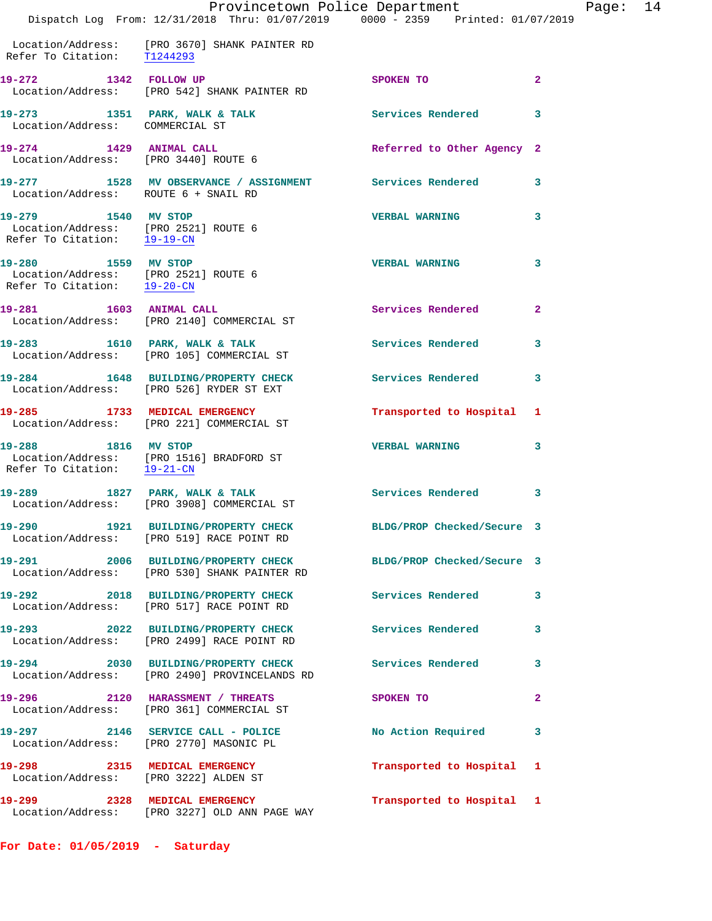|                                                                                            | Provincetown Police Department<br>Dispatch Log From: 12/31/2018 Thru: 01/07/2019 0000 - 2359 Printed: 01/07/2019 |                            |              |
|--------------------------------------------------------------------------------------------|------------------------------------------------------------------------------------------------------------------|----------------------------|--------------|
|                                                                                            | Location/Address: [PRO 3670] SHANK PAINTER RD<br>Refer To Citation: T1244293                                     |                            |              |
|                                                                                            | 19-272 1342 FOLLOW UP<br>Location/Address: [PRO 542] SHANK PAINTER RD                                            | SPOKEN TO                  | $\mathbf{2}$ |
| Location/Address: COMMERCIAL ST                                                            | 19-273 1351 PARK, WALK & TALK 1997 Services Rendered                                                             |                            | 3            |
| 19-274 1429 ANIMAL CALL<br>Location/Address: [PRO 3440] ROUTE 6                            |                                                                                                                  | Referred to Other Agency 2 |              |
| Location/Address: ROUTE 6 + SNAIL RD                                                       | 19-277 1528 MV OBSERVANCE / ASSIGNMENT Services Rendered                                                         |                            | 3            |
| 19-279 1540 MV STOP<br>Location/Address: [PRO 2521] ROUTE 6<br>Refer To Citation: 19-19-CN |                                                                                                                  | <b>VERBAL WARNING</b>      | 3            |
| 19-280 1559 MV STOP<br>Location/Address: [PRO 2521] ROUTE 6<br>Refer To Citation: 19-20-CN |                                                                                                                  | <b>VERBAL WARNING</b>      | 3            |
| 19-281 1603 ANIMAL CALL                                                                    | Location/Address: [PRO 2140] COMMERCIAL ST                                                                       | <b>Services Rendered</b>   | $\mathbf{2}$ |
|                                                                                            | 19-283 1610 PARK, WALK & TALK<br>Location/Address: [PRO 105] COMMERCIAL ST                                       | Services Rendered          | 3            |
|                                                                                            | 19-284 1648 BUILDING/PROPERTY CHECK<br>Location/Address: [PRO 526] RYDER ST EXT                                  | Services Rendered          | 3            |
|                                                                                            | 19-285 1733 MEDICAL EMERGENCY<br>Location/Address: [PRO 221] COMMERCIAL ST                                       | Transported to Hospital    | 1            |
| 19-288 1816 MV STOP<br>Refer To Citation: 19-21-CN                                         | Location/Address: [PRO 1516] BRADFORD ST                                                                         | <b>VERBAL WARNING</b>      | 3            |
|                                                                                            | 19-289 1827 PARK, WALK & TALK<br>Location/Address: [PRO 3908] COMMERCIAL ST                                      | Services Rendered          | 3            |
| 19-290                                                                                     | 1921 BUILDING/PROPERTY CHECK<br>Location/Address: [PRO 519] RACE POINT RD                                        | BLDG/PROP Checked/Secure 3 |              |
|                                                                                            | 19-291 2006 BUILDING/PROPERTY CHECK<br>Location/Address: [PRO 530] SHANK PAINTER RD                              | BLDG/PROP Checked/Secure 3 |              |
|                                                                                            | 19-292 2018 BUILDING/PROPERTY CHECK<br>Location/Address: [PRO 517] RACE POINT RD                                 | Services Rendered          | 3            |
|                                                                                            | 19-293 2022 BUILDING/PROPERTY CHECK<br>Location/Address: [PRO 2499] RACE POINT RD                                | Services Rendered          | 3            |
|                                                                                            | 19-294 2030 BUILDING/PROPERTY CHECK<br>Location/Address: [PRO 2490] PROVINCELANDS RD                             | <b>Services Rendered</b>   | 3.           |
|                                                                                            | 19-296 2120 HARASSMENT / THREATS<br>Location/Address: [PRO 361] COMMERCIAL ST                                    | SPOKEN TO                  | 2            |
|                                                                                            | 19-297 2146 SERVICE CALL - POLICE<br>Location/Address: [PRO 2770] MASONIC PL                                     | No Action Required         | 3            |
| 19-298<br>Location/Address: [PRO 3222] ALDEN ST                                            | 2315 MEDICAL EMERGENCY                                                                                           | Transported to Hospital    | 1            |
| 19-299                                                                                     | 2328 MEDICAL EMERGENCY                                                                                           | Transported to Hospital    | $\mathbf{1}$ |

**For Date: 01/05/2019 - Saturday**

Location/Address: [PRO 3227] OLD ANN PAGE WAY

Page:  $14$ <br>
<sup>2019</sup>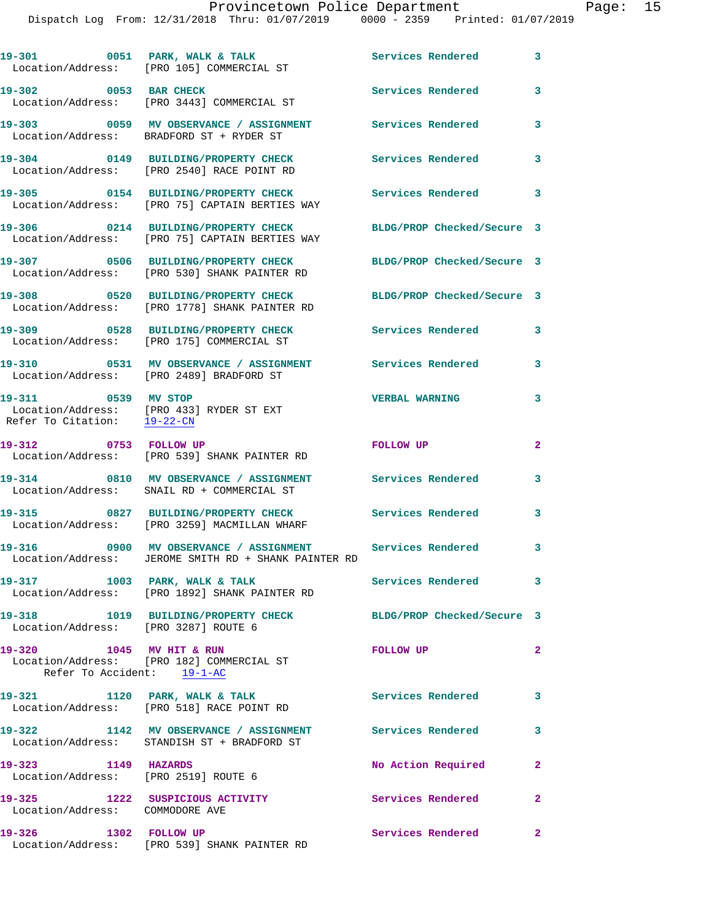Dispatch Log From: 12/31/2018 Thru: 01/07/2019 0000 - 2359 Printed: 01/07/2019

|                                                             | 19-301 0051 PARK, WALK & TALK<br>Location/Address: [PRO 105] COMMERCIAL ST                                  | <b>Services Rendered</b> 3 |                            |
|-------------------------------------------------------------|-------------------------------------------------------------------------------------------------------------|----------------------------|----------------------------|
| 19-302 0053 BAR CHECK                                       | Location/Address: [PRO 3443] COMMERCIAL ST                                                                  | Services Rendered          | 3                          |
|                                                             | 19-303 0059 MV OBSERVANCE / ASSIGNMENT<br>Location/Address: BRADFORD ST + RYDER ST                          | Services Rendered          | 3                          |
|                                                             | 19-304 0149 BUILDING/PROPERTY CHECK<br>Location/Address: [PRO 2540] RACE POINT RD                           | Services Rendered          | 3                          |
|                                                             | 19-305 0154 BUILDING/PROPERTY CHECK<br>Location/Address: [PRO 75] CAPTAIN BERTIES WAY                       | Services Rendered          | $\overline{\phantom{a}}$ 3 |
|                                                             | 19-306 0214 BUILDING/PROPERTY CHECK<br>Location/Address: [PRO 75] CAPTAIN BERTIES WAY                       | BLDG/PROP Checked/Secure 3 |                            |
|                                                             | 19-307 0506 BUILDING/PROPERTY CHECK<br>Location/Address: [PRO 530] SHANK PAINTER RD                         | BLDG/PROP Checked/Secure 3 |                            |
|                                                             | 19-308 0520 BUILDING/PROPERTY CHECK<br>Location/Address: [PRO 1778] SHANK PAINTER RD                        | BLDG/PROP Checked/Secure 3 |                            |
|                                                             | 19-309 0528 BUILDING/PROPERTY CHECK<br>Location/Address: [PRO 175] COMMERCIAL ST                            | <b>Services Rendered</b>   | $\mathbf{3}$               |
| 19-310                                                      | 0531 MV OBSERVANCE / ASSIGNMENT Services Rendered<br>Location/Address: [PRO 2489] BRADFORD ST               | $\sim$ 3                   |                            |
| 19-311 0539 MV STOP                                         | Location/Address: [PRO 433] RYDER ST EXT<br>Refer To Citation: $\frac{19-22-CN}{\pi}$                       | <b>VERBAL WARNING</b>      | 3                          |
| 19-312 0753 FOLLOW UP                                       | Location/Address: [PRO 539] SHANK PAINTER RD                                                                | <b>FOLLOW UP</b>           | $\mathbf{2}$               |
|                                                             | 19-314 0810 MV OBSERVANCE / ASSIGNMENT<br>Location/Address: SNAIL RD + COMMERCIAL ST                        | Services Rendered          | 3                          |
|                                                             | 19-315 0827 BUILDING/PROPERTY CHECK<br>Location/Address: [PRO 3259] MACMILLAN WHARF                         | <b>Services Rendered</b>   | 3                          |
| 19-316                                                      | 0900 MV OBSERVANCE / ASSIGNMENT Services Rendered 3<br>Location/Address: JEROME SMITH RD + SHANK PAINTER RD |                            |                            |
| 19-317 1003 PARK, WALK & TALK                               | Location/Address: [PRO 1892] SHANK PAINTER RD                                                               | Services Rendered 3        |                            |
| Location/Address: [PRO 3287] ROUTE 6                        | 19-318 1019 BUILDING/PROPERTY CHECK BLDG/PROP Checked/Secure 3                                              |                            |                            |
| 19-320 1045 MV HIT & RUN<br>Refer To Accident: 19-1-AC      | Location/Address: [PRO 182] COMMERCIAL ST                                                                   | FOLLOW UP                  | $\mathbf{2}$               |
|                                                             | 19-321 1120 PARK, WALK & TALK<br>Location/Address: [PRO 518] RACE POINT RD                                  | Services Rendered 3        |                            |
|                                                             | 19-322 1142 MV OBSERVANCE / ASSIGNMENT Services Rendered 3<br>Location/Address: STANDISH ST + BRADFORD ST   |                            |                            |
| 19-323 1149 HAZARDS<br>Location/Address: [PRO 2519] ROUTE 6 |                                                                                                             | No Action Required         | $\mathbf{2}$               |
| Location/Address: COMMODORE AVE                             | 19-325 1222 SUSPICIOUS ACTIVITY                                                                             | Services Rendered          | $\mathbf{2}$               |
| 19-326 1302 FOLLOW UP                                       | Location/Address: [PRO 539] SHANK PAINTER RD                                                                | Services Rendered 2        |                            |
|                                                             |                                                                                                             |                            |                            |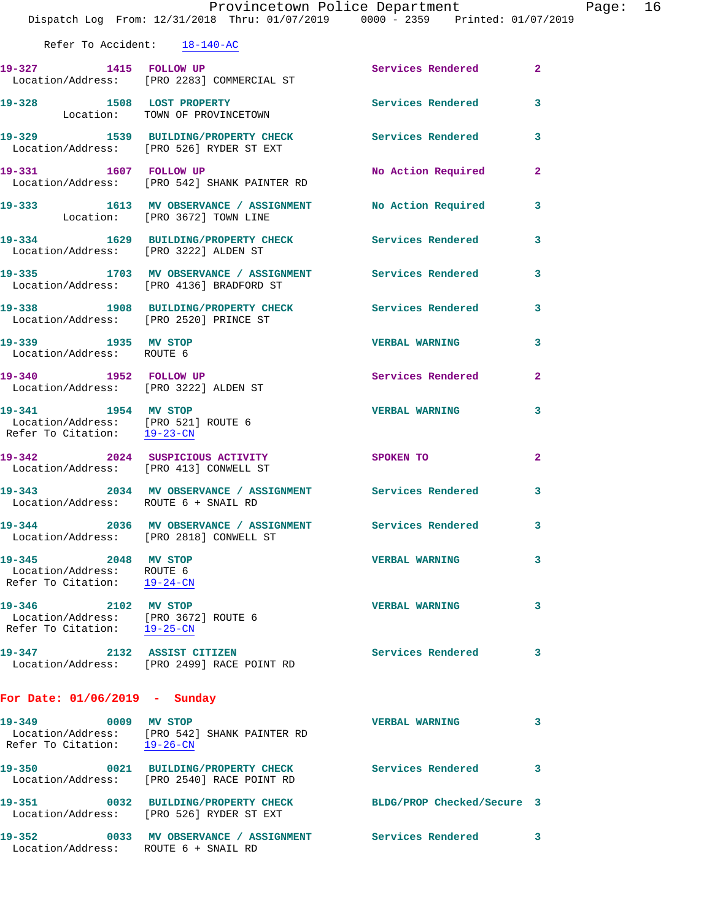|                                                                                           | Provincetown Police Department<br>Dispatch Log From: 12/31/2018 Thru: 01/07/2019 0000 - 2359 Printed: 01/07/2019 |                            |                         |  |  |
|-------------------------------------------------------------------------------------------|------------------------------------------------------------------------------------------------------------------|----------------------------|-------------------------|--|--|
| Refer To Accident: 18-140-AC                                                              |                                                                                                                  |                            |                         |  |  |
|                                                                                           | 19-327 1415 FOLLOW UP<br>Location/Address: [PRO 2283] COMMERCIAL ST                                              | <b>Services Rendered</b>   | $\mathbf{2}$            |  |  |
|                                                                                           | 19-328 1508 LOST PROPERTY<br>Location: TOWN OF PROVINCETOWN                                                      | Services Rendered          | 3                       |  |  |
|                                                                                           | 19-329 1539 BUILDING/PROPERTY CHECK<br>Location/Address: [PRO 526] RYDER ST EXT                                  | Services Rendered          | 3                       |  |  |
|                                                                                           | 19-331 1607 FOLLOW UP<br>Location/Address: [PRO 542] SHANK PAINTER RD                                            | No Action Required         | $\mathbf{2}$            |  |  |
|                                                                                           | 19-333 1613 MV OBSERVANCE / ASSIGNMENT No Action Required<br>Location: [PRO 3672] TOWN LINE                      |                            | 3                       |  |  |
| Location/Address: [PRO 3222] ALDEN ST                                                     | 19-334 1629 BUILDING/PROPERTY CHECK Services Rendered                                                            |                            | 3                       |  |  |
|                                                                                           | 19-335 1703 MV OBSERVANCE / ASSIGNMENT Services Rendered<br>Location/Address: [PRO 4136] BRADFORD ST             |                            | 3                       |  |  |
| Location/Address: [PRO 2520] PRINCE ST                                                    | 19-338 1908 BUILDING/PROPERTY CHECK Services Rendered                                                            |                            | 3                       |  |  |
| 19-339 1935 MV STOP<br>Location/Address: ROUTE 6                                          |                                                                                                                  | <b>VERBAL WARNING</b>      | 3                       |  |  |
| 19-340 1952 FOLLOW UP<br>Location/Address: [PRO 3222] ALDEN ST                            |                                                                                                                  | Services Rendered          | $\mathbf{2}$            |  |  |
| 19-341 1954 MV STOP<br>Location/Address: [PRO 521] ROUTE 6<br>Refer To Citation: 19-23-CN |                                                                                                                  | <b>VERBAL WARNING</b>      | 3                       |  |  |
| 19-342 2024 SUSPICIOUS ACTIVITY                                                           | Location/Address: [PRO 413] CONWELL ST                                                                           | SPOKEN TO                  | $\overline{\mathbf{2}}$ |  |  |
| Location/Address: ROUTE 6 + SNAIL RD                                                      | 19-343 2034 MV OBSERVANCE / ASSIGNMENT Services Rendered                                                         |                            | 3                       |  |  |
|                                                                                           | 19-344 2036 MV OBSERVANCE / ASSIGNMENT<br>Location/Address: [PRO 2818] CONWELL ST                                | Services Rendered          | 3                       |  |  |
| 2048 MV STOP<br>19-345<br>Location/Address: ROUTE 6<br>Refer To Citation: 19-24-CN        |                                                                                                                  | <b>VERBAL WARNING</b>      | 3                       |  |  |
| $19 - 346$<br>Location/Address: [PRO 3672] ROUTE 6<br>Refer To Citation: 19-25-CN         | 2102 MV STOP                                                                                                     | <b>VERBAL WARNING</b>      | 3                       |  |  |
| 19-347 2132 ASSIST CITIZEN                                                                | Location/Address: [PRO 2499] RACE POINT RD                                                                       | Services Rendered          | 3                       |  |  |
| For Date: $01/06/2019$ - Sunday                                                           |                                                                                                                  |                            |                         |  |  |
| 19-349 0009 MV STOP<br>Refer To Citation: 19-26-CN                                        | Location/Address: [PRO 542] SHANK PAINTER RD                                                                     | <b>VERBAL WARNING</b>      | 3                       |  |  |
| $19 - 350$                                                                                | 0021 BUILDING/PROPERTY CHECK<br>Location/Address: [PRO 2540] RACE POINT RD                                       | <b>Services Rendered</b>   | 3                       |  |  |
|                                                                                           | 19-351 0032 BUILDING/PROPERTY CHECK<br>Location/Address: [PRO 526] RYDER ST EXT                                  | BLDG/PROP Checked/Secure 3 |                         |  |  |

**19-352 0033 MV OBSERVANCE / ASSIGNMENT Services Rendered 3** 

Location/Address: ROUTE 6 + SNAIL RD

Page: 16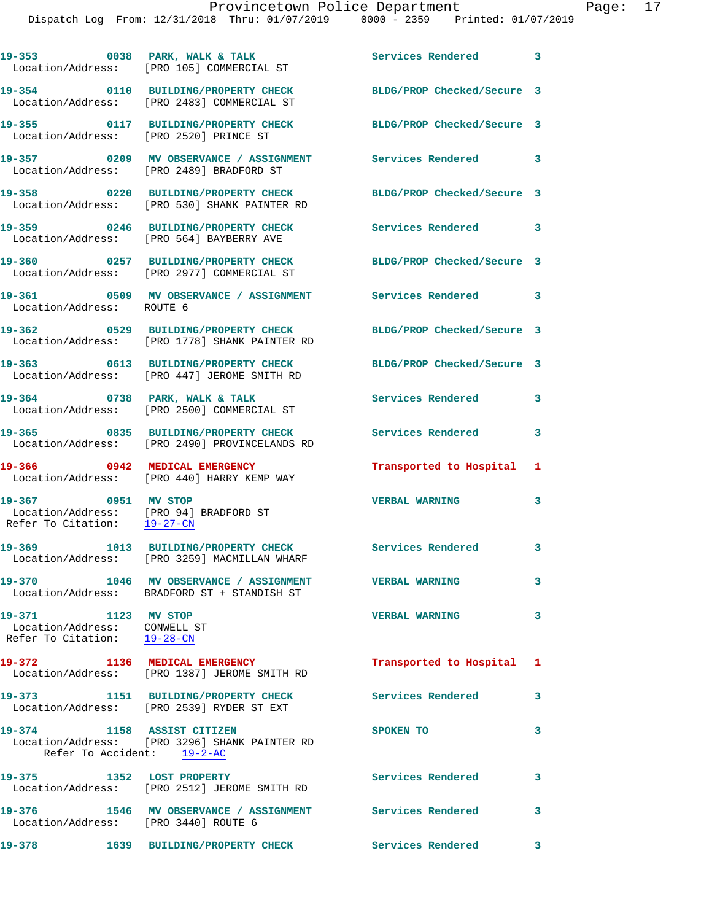|                                                                                                                 | 19-353 0038 PARK, WALK & TALK<br>Location/Address: [PRO 105] COMMERCIAL ST                              | Services Rendered 3        |              |
|-----------------------------------------------------------------------------------------------------------------|---------------------------------------------------------------------------------------------------------|----------------------------|--------------|
|                                                                                                                 | 19-354 0110 BUILDING/PROPERTY CHECK<br>Location/Address: [PRO 2483] COMMERCIAL ST                       | BLDG/PROP Checked/Secure 3 |              |
| Location/Address: [PRO 2520] PRINCE ST                                                                          | 19-355 0117 BUILDING/PROPERTY CHECK                                                                     | BLDG/PROP Checked/Secure 3 |              |
|                                                                                                                 | 19-357 0209 MV OBSERVANCE / ASSIGNMENT Services Rendered 3<br>Location/Address: [PRO 2489] BRADFORD ST  |                            |              |
|                                                                                                                 | 19-358 0220 BUILDING/PROPERTY CHECK<br>Location/Address: [PRO 530] SHANK PAINTER RD                     | BLDG/PROP Checked/Secure 3 |              |
|                                                                                                                 | 19-359 0246 BUILDING/PROPERTY CHECK<br>Location/Address: [PRO 564] BAYBERRY AVE                         | Services Rendered 3        |              |
|                                                                                                                 | 19-360 0257 BUILDING/PROPERTY CHECK<br>Location/Address: [PRO 2977] COMMERCIAL ST                       | BLDG/PROP Checked/Secure 3 |              |
| Location/Address: ROUTE 6                                                                                       | 19-361 0509 MV OBSERVANCE / ASSIGNMENT Services Rendered 3                                              |                            |              |
|                                                                                                                 | 19-362 0529 BUILDING/PROPERTY CHECK<br>Location/Address: [PRO 1778] SHANK PAINTER RD                    | BLDG/PROP Checked/Secure 3 |              |
|                                                                                                                 | 19-363 0613 BUILDING/PROPERTY CHECK<br>Location/Address: [PRO 447] JEROME SMITH RD                      | BLDG/PROP Checked/Secure 3 |              |
|                                                                                                                 | $19-364$ 0738 PARK, WALK & TALK<br>Location/Address: [PRO 2500] COMMERCIAL ST                           | Services Rendered          | 3            |
|                                                                                                                 | 19-365 0835 BUILDING/PROPERTY CHECK<br>Location/Address: [PRO 2490] PROVINCELANDS RD                    | <b>Services Rendered</b>   | 3            |
| 19-366 0942 MEDICAL EMERGENCY                                                                                   | Location/Address: [PRO 440] HARRY KEMP WAY                                                              | Transported to Hospital 1  |              |
| 19-367 0951 MV STOP<br>Location/Address: [PRO 94] BRADFORD ST<br>Refer To Citation: $\frac{19-27-\text{CN}}{2}$ |                                                                                                         | <b>VERBAL WARNING</b>      | 3            |
|                                                                                                                 | 19-369 1013 BUILDING/PROPERTY CHECK Services Rendered 3<br>Location/Address: [PRO 3259] MACMILLAN WHARF |                            |              |
|                                                                                                                 | 19-370 1046 MV OBSERVANCE / ASSIGNMENT VERBAL WARNING<br>Location/Address: BRADFORD ST + STANDISH ST    |                            | 3            |
| 19-371 1123 MV STOP<br>Location/Address: CONWELL ST<br>Refer To Citation: 19-28-CN                              |                                                                                                         | <b>VERBAL WARNING</b>      | 3            |
|                                                                                                                 | 19-372 1136 MEDICAL EMERGENCY<br>Location/Address: [PRO 1387] JEROME SMITH RD                           | Transported to Hospital 1  |              |
|                                                                                                                 | 19-373 1151 BUILDING/PROPERTY CHECK<br>Location/Address: [PRO 2539] RYDER ST EXT                        | Services Rendered          | $\mathbf{3}$ |
| 19-374 1158 ASSIST CITIZEN<br>Refer To Accident: 19-2-AC                                                        | Location/Address: [PRO 3296] SHANK PAINTER RD                                                           | SPOKEN TO                  | 3            |
|                                                                                                                 | 19-375 1352 LOST PROPERTY<br>Location/Address: [PRO 2512] JEROME SMITH RD                               | <b>Services Rendered</b>   | 3            |
| Location/Address: [PRO 3440] ROUTE 6                                                                            | 19-376 1546 MV OBSERVANCE / ASSIGNMENT Services Rendered 3                                              |                            |              |
| 19-378                                                                                                          | 1639 BUILDING/PROPERTY CHECK Services Rendered 3                                                        |                            |              |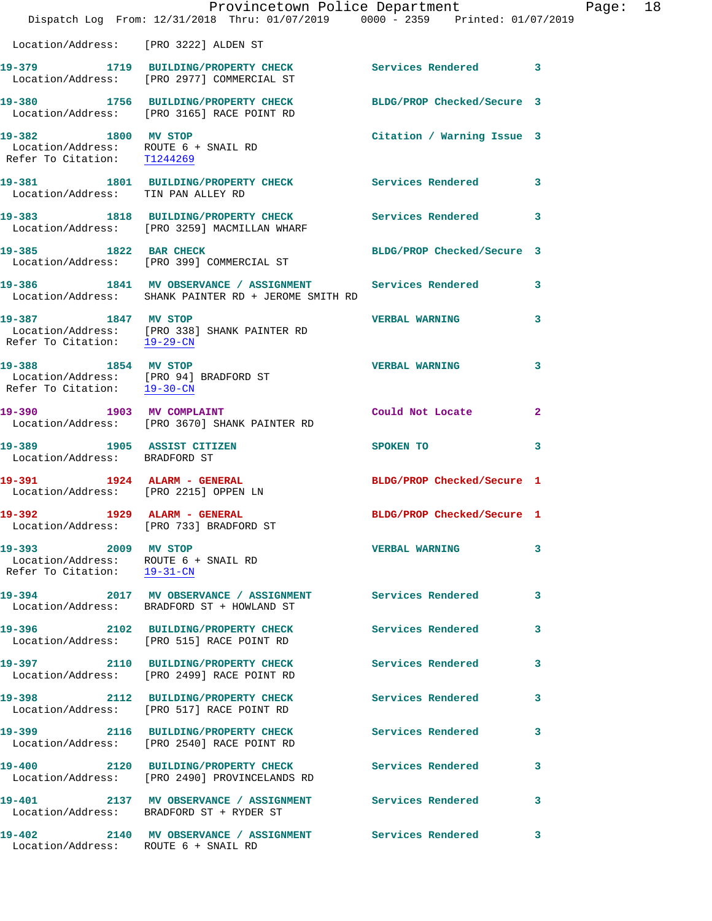|                                                                                              | Dispatch Log From: 12/31/2018 Thru: 01/07/2019 0000 - 2359 Printed: 01/07/2019                                   | Provincetown Police Department |              | Page: | 18 |
|----------------------------------------------------------------------------------------------|------------------------------------------------------------------------------------------------------------------|--------------------------------|--------------|-------|----|
| Location/Address: [PRO 3222] ALDEN ST                                                        |                                                                                                                  |                                |              |       |    |
|                                                                                              | 19-379 1719 BUILDING/PROPERTY CHECK Services Rendered 3<br>Location/Address: [PRO 2977] COMMERCIAL ST            |                                |              |       |    |
|                                                                                              | 19-380 1756 BUILDING/PROPERTY CHECK<br>Location/Address: [PRO 3165] RACE POINT RD                                | BLDG/PROP Checked/Secure 3     |              |       |    |
| 19-382 1800 MV STOP<br>Location/Address: ROUTE 6 + SNAIL RD<br>Refer To Citation: T1244269   |                                                                                                                  | Citation / Warning Issue 3     |              |       |    |
| Location/Address: TIN PAN ALLEY RD                                                           | 19-381 1801 BUILDING/PROPERTY CHECK Services Rendered                                                            |                                | 3            |       |    |
|                                                                                              | 19-383 1818 BUILDING/PROPERTY CHECK<br>Location/Address: [PRO 3259] MACMILLAN WHARF                              | Services Rendered              | 3            |       |    |
| 19-385 1822 BAR CHECK                                                                        | Location/Address: [PRO 399] COMMERCIAL ST                                                                        | BLDG/PROP Checked/Secure 3     |              |       |    |
|                                                                                              | 19-386 1841 MV OBSERVANCE / ASSIGNMENT Services Rendered<br>Location/Address: SHANK PAINTER RD + JEROME SMITH RD |                                | 3            |       |    |
| 19-387 1847 MV STOP<br>Refer To Citation: 19-29-CN                                           | Location/Address: [PRO 338] SHANK PAINTER RD                                                                     | <b>VERBAL WARNING</b>          | 3            |       |    |
| 19-388 1854 MV STOP<br>Location/Address: [PRO 94] BRADFORD ST<br>Refer To Citation: 19-30-CN |                                                                                                                  | <b>VERBAL WARNING</b>          | 3            |       |    |
| 19-390 1903 MV COMPLAINT                                                                     | Location/Address: [PRO 3670] SHANK PAINTER RD                                                                    | Could Not Locate               | $\mathbf{2}$ |       |    |
| 19-389 1905 ASSIST CITIZEN<br>Location/Address: BRADFORD ST                                  |                                                                                                                  | SPOKEN TO                      | 3            |       |    |
| 19-391 1924 ALARM - GENERAL<br>Location/Address: [PRO 2215] OPPEN LN                         |                                                                                                                  | BLDG/PROP Checked/Secure 1     |              |       |    |
| 19-392 1929 ALARM - GENERAL                                                                  | Location/Address: [PRO 733] BRADFORD ST                                                                          | BLDG/PROP Checked/Secure 1     |              |       |    |
| 19-393 2009 MV STOP<br>Location/Address: ROUTE 6 + SNAIL RD<br>Refer To Citation: 19-31-CN   |                                                                                                                  | <b>VERBAL WARNING</b>          | 3            |       |    |
|                                                                                              | 19-394 2017 MV OBSERVANCE / ASSIGNMENT Services Rendered<br>Location/Address: BRADFORD ST + HOWLAND ST           |                                | 3            |       |    |
|                                                                                              | 19-396 2102 BUILDING/PROPERTY CHECK<br>Location/Address: [PRO 515] RACE POINT RD                                 | Services Rendered              | 3            |       |    |
|                                                                                              | 19-397 2110 BUILDING/PROPERTY CHECK<br>Location/Address: [PRO 2499] RACE POINT RD                                | Services Rendered              | 3            |       |    |
|                                                                                              | 19-398 2112 BUILDING/PROPERTY CHECK<br>Location/Address: [PRO 517] RACE POINT RD                                 | <b>Services Rendered</b>       | 3            |       |    |
|                                                                                              | 19-399 2116 BUILDING/PROPERTY CHECK<br>Location/Address: [PRO 2540] RACE POINT RD                                | <b>Services Rendered</b>       | 3            |       |    |
|                                                                                              | 19-400 2120 BUILDING/PROPERTY CHECK<br>Location/Address: [PRO 2490] PROVINCELANDS RD                             | Services Rendered              | 3            |       |    |
|                                                                                              | 19-401  2137 MV OBSERVANCE / ASSIGNMENT Services Rendered<br>Location/Address: BRADFORD ST + RYDER ST            |                                | 3            |       |    |
| Location/Address: ROUTE 6 + SNAIL RD                                                         | 19-402 2140 MV OBSERVANCE / ASSIGNMENT Services Rendered                                                         |                                | 3            |       |    |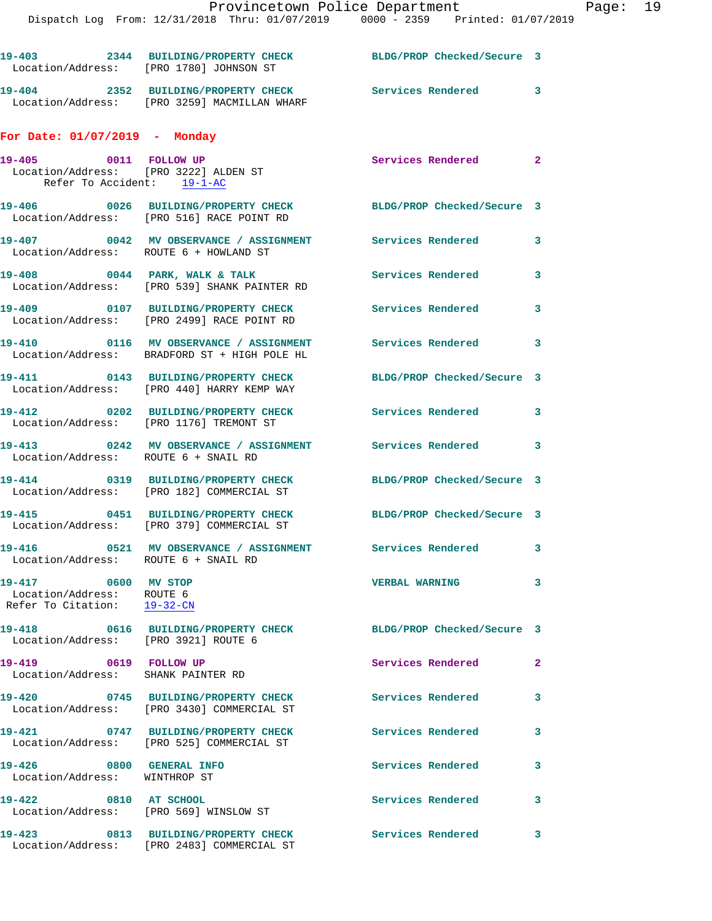| Location/Address: [PRO 1780] JOHNSON ST                                                      | 19-403 2344 BUILDING/PROPERTY CHECK                                                                   | BLDG/PROP Checked/Secure 3 |              |
|----------------------------------------------------------------------------------------------|-------------------------------------------------------------------------------------------------------|----------------------------|--------------|
|                                                                                              | 19-404 2352 BUILDING/PROPERTY CHECK<br>Location/Address: [PRO 3259] MACMILLAN WHARF                   | Services Rendered 3        |              |
| For Date: $01/07/2019$ - Monday                                                              |                                                                                                       |                            |              |
| 19-405 0011 FOLLOW UP<br>Location/Address: [PRO 3222] ALDEN ST<br>Refer To Accident: 19-1-AC |                                                                                                       | Services Rendered 2        |              |
|                                                                                              | 19-406 0026 BUILDING/PROPERTY CHECK<br>Location/Address: [PRO 516] RACE POINT RD                      | BLDG/PROP Checked/Secure 3 |              |
| Location/Address: ROUTE 6 + HOWLAND ST                                                       | 19-407 0042 MV OBSERVANCE / ASSIGNMENT Services Rendered                                              |                            | 3            |
|                                                                                              | 19-408 0044 PARK, WALK & TALK<br>Location/Address: [PRO 539] SHANK PAINTER RD                         | Services Rendered          | 3            |
|                                                                                              | 19-409 0107 BUILDING/PROPERTY CHECK<br>Location/Address: [PRO 2499] RACE POINT RD                     | <b>Services Rendered</b>   | $\mathbf{3}$ |
| 19-410                                                                                       | 0116 MV OBSERVANCE / ASSIGNMENT Services Rendered 3<br>Location/Address: BRADFORD ST + HIGH POLE HL   |                            |              |
|                                                                                              | 19-411 0143 BUILDING/PROPERTY CHECK<br>Location/Address: [PRO 440] HARRY KEMP WAY                     | BLDG/PROP Checked/Secure 3 |              |
| 19-412<br>Location/Address: [PRO 1176] TREMONT ST                                            | 0202 BUILDING/PROPERTY CHECK                                                                          | Services Rendered 3        |              |
| Location/Address: ROUTE 6 + SNAIL RD                                                         | 19-413 0242 MV OBSERVANCE / ASSIGNMENT Services Rendered                                              |                            | $\mathbf{3}$ |
|                                                                                              | 19-414 0319 BUILDING/PROPERTY CHECK<br>Location/Address: [PRO 182] COMMERCIAL ST                      | BLDG/PROP Checked/Secure 3 |              |
|                                                                                              | 19-415 0451 BUILDING/PROPERTY CHECK<br>Location/Address: [PRO 379] COMMERCIAL ST                      | BLDG/PROP Checked/Secure 3 |              |
|                                                                                              | 19-416 0521 MV OBSERVANCE / ASSIGNMENT Services Rendered 3<br>Location/Address:    ROUTE 6 + SNAIL RD |                            |              |
| 19-417 0600 MV STOP<br>Location/Address: ROUTE 6<br>Refer To Citation: 19-32-CN              |                                                                                                       | <b>VERBAL WARNING</b>      | $\mathbf{3}$ |
| 19-418<br>Location/Address: [PRO 3921] ROUTE 6                                               | 0616 BUILDING/PROPERTY CHECK                                                                          | BLDG/PROP Checked/Secure 3 |              |
| 19-419 0619 FOLLOW UP<br>Location/Address: SHANK PAINTER RD                                  |                                                                                                       | Services Rendered          | $\mathbf{2}$ |
| 19-420                                                                                       | 0745 BUILDING/PROPERTY CHECK<br>Location/Address: [PRO 3430] COMMERCIAL ST                            | <b>Services Rendered</b>   | $\mathbf{3}$ |
|                                                                                              | 19-421 0747 BUILDING/PROPERTY CHECK<br>Location/Address: [PRO 525] COMMERCIAL ST                      | <b>Services Rendered</b>   | 3            |
| 19-426 0800 GENERAL INFO<br>Location/Address: WINTHROP ST                                    |                                                                                                       | Services Rendered          | $\mathbf{3}$ |
| 19-422 0810 AT SCHOOL<br>Location/Address: [PRO 569] WINSLOW ST                              |                                                                                                       | Services Rendered          | 3            |
| 19-423                                                                                       | 0813 BUILDING/PROPERTY CHECK                                                                          | <b>Services Rendered</b>   | 3            |

Location/Address: [PRO 2483] COMMERCIAL ST